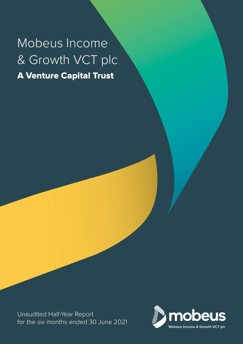# Mobeus Income & Growth VCT plc A Venture Capital Trust

Unaudited Half-Year Report for the six months ended 30 June 2021

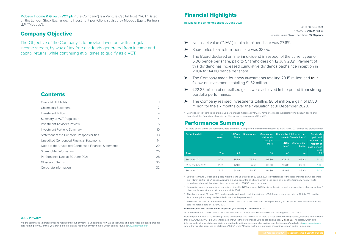#### **YOUR PRIVACY**

We are committed to protecting and respecting your privacy. To understand how we collect, use and otherwise process personal data relating to you, or that you provide to us, please read our privacy notice, which can be found at www.migvct.co.uk.

**Mobeus Income & Growth VCT plc** ("the Company") is a Venture Capital Trust ("VCT") listed on the London Stock Exchange. Its investment portfolio is advised by Mobeus Equity Partners LLP ("Mobeus").

As at 30 June 2021: Net assets: **£107.41 million** Net asset value ("NAV") per share: **85.56 pence**

### Company Objective

The Objective of the Company is to provide investors with a regular income stream, by way of tax-free dividends generated from income and capital returns, while continuing at all times to qualify as a VCT.

### **Contents**

- ▶ Net asset value ("NAV") total return<sup>1</sup> per share was 27.6%.
- ▶ Share price total return<sup>1</sup> per share was 33.0%.
- ➤ The Board declared an interim dividend in respect of the current year of 5.00 pence per share, paid to Shareholders on 12 July 2021. Payment of this dividend has increased cumulative dividends paid<sup>1</sup> since inception in 2004 to 144.80 pence per share.
- ➤ The Company made four new investments totalling £3.15 million and four follow-on investments totalling £1.32 million.
- ➤ £22.35 million of unrealised gains were achieved in the period from strong portfolio performance.
- ➤ The Company realised investments totalling £6.61 million, a gain of £1.50 million for the six months over their valuation at 31 December 2020.

| <b>Financial Highlights</b>                           |                 |
|-------------------------------------------------------|-----------------|
| Chairman's Statement                                  | $\overline{2}$  |
| <b>Investment Policy</b>                              | $\overline{4}$  |
| Summary of VCT Regulation                             | $\overline{4}$  |
| Investment Adviser's Review                           | 5               |
| <b>Investment Portfolio Summary</b>                   | 10 <sup>°</sup> |
| Statement of the Directors' Responsibilities          | 13              |
| Unaudited Condensed Financial Statements              | 14              |
| Notes to the Unaudited Condensed Financial Statements | 20              |
| Shareholder Information                               | 26              |
| Performance Data at 30 June 2021                      | 28              |
| Glossary of terms                                     | 30              |
| Corporate Information                                 | 32              |

- <sup>2</sup> Cumulative total return per share comprises either the NAV per share (NAV basis) or the mid-market price per share (share price basis), plus cumulative dividends paid since launch in 2004.
- $^3$  The share price at 30 June 2021 has been adjusted to add back the dividend of 5.00 pence per share paid on 12 July 2021, as the listed share price was quoted ex this dividend at the period-end.
- 4 The Board declared an interim dividend of 5.00 pence per share in respect of the year ending 31 December 2021. The dividend was paid to Shareholders on 12 July 2021.

1 Definitions of key terms and alternative performance measures ("APMs") / Key performance indicators ("KPIs") shown above and throughout this Report are shown in the Glossary of terms on pages 30 and 31.

### Performance Summary

The table below shows the recent key data and cumulative performance since inception as at 30 June 2021 and for the previous year.

| <b>Reporting date</b> | <b>Net</b><br>assets | NAV per<br><b>Share</b> | Share price <sup>1</sup> | <b>Cumulative</b><br>dividends |                       | Cumulative total return per<br>share to Shareholders <sup>2</sup> | <b>Dividends</b><br>paid and              |
|-----------------------|----------------------|-------------------------|--------------------------|--------------------------------|-----------------------|-------------------------------------------------------------------|-------------------------------------------|
|                       |                      |                         |                          | paid per<br>share              | <b>(NAV</b><br>basis) | <b>Share price</b><br>basis)                                      | proposed in<br>respect of<br>each period/ |
| As at                 | $(\text{Em})$        | (p)                     | (p)                      | (p)                            | (p)                   | (p)                                                               | year<br>(p)                               |
| 30 June 2021          | 107.41               | 85.56                   | 76.50 <sup>3</sup>       | 139.80                         | 225.36                | 216.30                                                            | 5.00 <sup>4</sup>                         |
| 31 December 2020      | 84.69                | 67.03                   | 57.50                    | 139.80                         | 206.83                | 197.30                                                            | 11.00                                     |
| 30 June 2020          | 74.71                | 58.86                   | 50.50                    | 134.80                         | 193.66                | 185.30                                                            | 6.00                                      |

1 Source: Panmure Gordon (mid-price). Note that the Share price at 30 June 2021 is by reference to the last announced NAV per share at 31 March 2021 of 80.31 pence. Applying a c.5% discount to this figure, which is the basis on which the Company was willing to repurchase shares at that date, gives the share price of 76.50 pence per share.

#### **Dividends paid post period-end in respect of year ending 31 December 2021**

An interim dividend of 5.00 pence per share was paid on 12 July 2021 to Shareholders on the Register on 21 May 2021. Detailed performance data, including a table of dividends paid to date for all share classes and fundraising rounds, including former Matrix Income & Growth 3 VCT plc Shareholders, is shown in the Performance Data appendix on pages 28 and 29. The tables, which give information by allotment date on NAVs and dividends paid per share, are also available on the Company's website at www.migvct.co.uk where they can be accessed by clicking on "table" under "Reviewing the performance of your investment" on the home page.

## Financial Highlights

**Results for the six months ended 30 June 2021**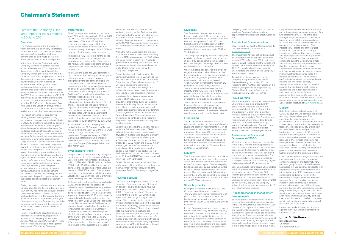#### **Dividends**

The Board was pleased to declare an Interim dividend of 5.00 pence per share for the year ending 31 December 2021. This dividend was paid on 12 July 2021, to Shareholders on the Register on 21 May 2021, and brought cumulative dividends paid per share since inception in 2004 to 144.80 pence.

The Company's ongoing dividend target, first established almost a decade ago, of paying at least 4.00 pence per share in respect of each financial year has always been achieved and has often been exceeded.

Whilst the Board still believes this dividend target is attainable, it should be noted that the continued movement of the portfolio to a larger share of younger growth capital investments could lead to increased volatility, which may affect the return in any given year. As noted in my Overview, Shareholders should be aware that the majority of the NAV total return for the current year to date relates to the unrealised gains of the portfolio, which are not yet available for distribution as dividends.

To the extent that dividends are paid other than out of income or from gains on investments, for instance out of special distributable reserves, Shareholders should note this may result in a reduction in NAV.

#### **Fundraising**

The Board, with the Investment Adviser, continues to monitor the Company's liquidity levels and cashflow requirements in view of investment activity, market movements and regulatory obligations. With these in mind and under regular review, the Board comes to a decision with regards to future fundraising requirements and, in doing so, will notify Shareholders of any intention to raise further funds for the Company through an Offer for Subscription.

#### **Liquidity**

The Board continues to monitor credit risk in respect of its cash and near cash resources and to prioritise the security and protection of the Company's capital. Cash and liquidity fund balances as at 30 June 2021 amounted to £34.92 million representing 32.5% of net assets. After the period-end, following the payment of a 5.00 pence per share dividend, the pro-forma level of liquidity will be £28.60 million (28.3% of net assets).

#### **Share buy-backs**

During the six months to 30 June 2021, the Company bought back and cancelled 798,572 of its own shares, representing 0.6% (2020: 0.8%) of the shares in issue at the beginning of the period, at a total cost of £0.57 million (2020: £0.42 million), inclusive of expenses.

It is the Company's policy to cancel all shares bought back in this way. The Board regularly reviews its buyback policy, where its priority is to act prudently and in the interest of remaining Shareholders, whilst considering other factors, such as levels of liquidity and reserves, market conditions and applicable law and regulations. Under this policy, the

Company seeks to maintain the discount at which the Company's shares trade at approximately 5% below the latest published NAV.

### **Shareholder Communications**

May I remind you that the Company has its own website which is available at: www.migvct.co.uk.

The Investment Adviser last held its annual Shareholder Event on behalf of all Mobeusadvised VCTs in February 2020. Last year's event was well received and the Investment Adviser plans to hold another event later in 2021. Further details will be circulated to Shareholders and shown on the Company's website in due course.

An update on the performance of the Company was provided at the Annual General Meeting held in May 2021. A recording of the AGM is still available on the website (using the link above) under Key Shareholder information/Shareholder meetings if you wish to refer to this.

#### **Fraud Warning**

We are aware of a number of cases where Shareholders are being fraudulently contacted or are being subjected to attempts of identity fraud. Shareholders should remain vigilant of all potential financial scams or requests for them to disclose personal data. The Board strongly recommends Shareholders take time to read the Company's Fraud warning section, including details of who to contact, contained within the Information for Shareholders section on pages 26 and 27.

#### C. no. Bottune **Clive Boothman** Chairman

#### **Environmental, Social and Governance ("ESG")**

Whilst the requirements under company law to detail ESG matters are not applicable to the Company at the current time, the Board is conscious of the Company's potential impact on the environment as well as its social and corporate governance responsibilities. The Investment Adviser has presented its ESG strategy to the Board and is providing regular updates regarding ESG developments.

Your Board would like to assure Shareholders that ESG matters form a key consideration in investment decisions. The future FCA reporting requirements consistent with the Task Force on Climate-related Financial Disclosures commencing from 1 January 2021 do not currently apply to the Company although will be kept under review in light of any recommended changes.

#### **Proposed change in management arrangements**

Shareholders will have received a letter or email explaining that the Investment Adviser to the Company, Mobeus Equity Partners LLP ("Mobeus") has agreed to a sale of its VCT and investment management business to a subsidiary of Gresham House plc. The Board, alongside the Boards of the other Mobeusadvised VCTs, have agreed to the novation of the investment advisory arrangements from Mobeus to Gresham House. Gresham House is a fast growing specialist fund group with a

long-term commitment to the VCT Industry and is the existing investment manager of the two Baronsmead VCTs. The entire core management, investment and operational teams involved with the Mobeus-advised VCTs will all transfer to Gresham House in connection with this transaction. This integration will create one of the largest teams in the sector with the coverage, experience and know-how to access more and higher quality investment opportunities. The Board is confident that the team will continue to build the Company's portfolio and enhance its value. The Board considers that this change is in the interests of Shareholders and looks forward to working with Gresham House to achieve a continued strong investment performance for the Mobeus-advised VCTs. The Board can confirm that no material changes are being made to the investment advisory arrangements. Shareholders can also be assured that the Board's track record of governance and independence will be maintained. Completion of these arrangements is expected to take effect on or around 1 October 2021. For further details, please refer to the Company's website, under 'Shareholder literature' at www.migvct.co.uk.

#### **Outlook**

Both the direct and indirect impacts of COVID-19 have and will continue to be wide reaching. Nevertheless, your Board considers that your Company is well positioned to continue to respond and adapt in most likely scenarios that can presently be foreseen. The strong liquidity arising from successful realisations and previous fundraisings has enabled the Company to support the existing portfolio, and should allow it to capitalise on new opportunities. New and further investment activity has been positive in the first six months of the year and the Board is confident in the Investment Adviser's ability to deliver new growth transactions but also to realise further profits from the existing portfolio.

COVID-19 uncertainties and, in particular, the emerging supply-side issues may cause continuing instability and fuel inflationary concerns going forward. UK and European businesses will also continue to operate in an uncertain trading environment for the near future as the new UK/EU trade agreement continues to bed down. However, the companies in the portfolio have been well prepared for a considerable time for the impact of Brexit and those preparations appear to be working well. Although there are signs that the UK's successful vaccination programme is beginning to bear fruit, there remains a risk of potential future restrictions. Even with continuing uncertainty, both the Investment Adviser and portfolio companies remain well positioned to not only respond but to prosper in the future.

I would like to take this opportunity once again to thank our Shareholders for their continued support.

### Chairman's Statement

I present the Company's Half-Year Report for the six months to 30 June 2021.

#### **Overview**

The first six months of the Company's financial year have been very satisfactory for Shareholders. The Company achieved two consecutive quarters of strong performance combining to a NAV total return per share of 27.6% for the period.

At the time of my last Statement in the Company's Annual Report for the year ended 31 December 2020, I reported on the resilience of the portfolio and the Company's strong recovery from the initial shock of COVID-19. Lam pleased to say that this momentum has been sustained into the new financial year with a period of unprecedented value growth, driven fundamentally by strong trading performance across the portfolio coupled with a number of landmark transactions for the VCT. A record earnings figure of £23.29 million was achieved for the six months to 30 June 2021, but Shareholders should note that £22.35 million of this arises from increases in the valuation of investments. This element of profit cannot be distributed as dividends until the investments are sold.

This robust performance, despite initial teething issues following Brexit, is very encouraging. However, some indirect effects of COVID-19 are starting to be felt by portfolio businesses, for example, in the emergence of a broad range of supply-side shortages, from cardboard packaging through to electronic components and freight space. As restrictions are being further eased, there remains much uncertainty around these secondary and longer-term effects of the pandemic which will demand continued close monitoring going forward. Nevertheless, most of the investee companies in the portfolio have thus far proven their ability to adapt well in a rapidly changing environment and have avoided any significant direct impact of COVID-19 on their trading performance. Your Board has been encouraged by their adeptness in facing challenges by swiftly identifying new opportunities and capitalising on them. In particular, favourable trading conditions continue for a number of technology-related companies in the portfolio, particularly those businesses operating direct-to-consumer models.

During the period under review and despite considerable COVID-19 related restrictions, M&A activity has remained buoyant and the Investment Adviser continues to see a healthy deal flow. The Company added four new investments to its portfolio, deployed follow-on funding into four existing portfolio companies and supported the successful admission to AIM of a further two of its investments.

Finally, I would like to draw Shareholder's attention to a positive development in respect of the Company's Investment Adviser, Mobeus Equity Partners LLP. Please refer to 'Proposed change in management arrangements' later in my Statement.

#### **Performance**

The Company's NAV total return per share was 27.6% for the six months to 30 June 2021 (2020: 0.1%), and the share price total return was 33.0% (2020: a fall of 5.1%). This represents an exceptional uplift for the period and contrasts markedly with that recorded through the height of the COVID-19 pandemic for the same period last year.

The positive NAV total return for the period was principally the result of significant unrealised gains in the value of investments still held, as well as realised gains achieved via partial realisations of several portfolio companies.

The valuations at the half-year point reflect the continued beneficial impact of changes in UK consumer and business behaviour, brought on by the pandemic and lockdown restrictions. In the case of two direct-toconsumer portfolio companies (Virgin Wines and Parsley Box), whose shares were admitted to public trading on AIM in March 2021, the Company has benefited from the market's recognition of this rapidly developing channel, reflected in the substantial investor appetite for the offers of shares. Nonetheless, the Board remains vigilant in monitoring the lasting economic uncertainty and increased concentration of risk associated with holding a significant portion of the portfolio's value in a small number of public market investments, which accounted for 15.3% of NAV at 30 June 2021.

At the period-end, the Company was ranked 3rd out of 39 Generalist VCTs over five years and 3rd out of 30 Generalist VCTs over 10 years, in the Association of Investment Companies' analysis of NAV Cumulative Total Return. Shareholders should note that these rankings are based upon the Company's latest published NAV, at 31 March 2021.

#### **Investment Portfolio**

The portfolio has performed very strongly in the first six months of the Company's financial year. The overall value increased by £23.85 million (2020: a fall of £0.78 million), or 46.6% (2020: a fall of 1.5%) on a like-for-like basis, compared to the opening portfolio value at 1 January 2021 of £51.14 million. This increase comprised a net unrealised uplift in portfolio valuations of £22.35 million, and £1.50 million in net realised gains over the period.

At the period-end, the portfolio was valued at £72.85 million after taking account of investments purchased and partially realised in the period, together with the unrealised gains referred to above. Two notable events supported the overall £23.85 million increase in portfolio valuation during the period. The flotation of both Virgin Wines and Parsley Box on the AIM market in March 2021 resulted in significant uplifts in valuation. As part of the Virgin Wines transaction, the Company received repayment of its remaining loan stock, leaving Virgin Wines ungeared. As part of the IPO of Parsley Box, the Company realised part of its equity holding, securing a 4.0x return on the cost of the shares sold. There were further substantial increases in

valuations from MyTutor, MPB and Vian Marketing (trading as Red Paddle), partially offset by modest valuation falls at Andersen EV and Kudos Innovations. Although a minority of companies remain disadvantaged by the COVID-19 pandemic, these have only had a modest impact on overall shareholder returns.

Within the net realised gains, the principal contributors were the partial exits of Parsley Box and MPB, realising gains of £0.69 million and £0.53 million respectively. Proceeds generated from these gains, combined with loan repayments and other capital receipts, totalled £6.61 million received by the Company in the period.

During the six months under review, the Company invested a total of £3.15 million into four new investments: an AI and Urban Traffic Control system (Vivacity Labs), a provider of UK leisure and experience breaks (Caledonian Leisure), a SaaS LegalTech software business (Legatics) and a veterinary clinics and pet food provider (Vet's Klinic).

In addition, four follow-on investments totalling £1.32 million were made into a provider of ambient ready meals targeting the over 60s (Parsley Box), a hair colourants brand (Bleach London), a regulatory and reporting requirement service provider (Arkk Consulting) and a Spanish restaurant chain (Tapas Revolution). We expect follow-on investments to continue to be a feature of the growth capital investments as they seek to achieve scale.

Since the period-end, the Company has also made one follow-on investment of £0.82 million into a digital tutoring marketplace (MyTutor). In the following days, the Company sold part of its original equity holding in MyTutor to a strategic investor generating proceeds of £0.82 million and a £0.60 million realised gain for the Company over the original cost of the equity shares sold. In isolation, the impact of this partial sale is a 0.08 pence uplift in NAV per share compared to the 30 June 2021 NAV per share contained within this Half Year Report.

Details of this investment activity and the performance of the portfolio are contained in the Investment Adviser's Review and the Investment Portfolio Summary on pages 5 to 12.

#### **Revenue account**

The results for the period are set out in the Unaudited Condensed Income Statement on pages 14 and 15 and show a revenue return (after tax) of 0.12 pence per share (2020: 1.54 pence per share). The revenue return for the period of £0.16 million has decreased from last year's figure of £1.92 million. This is mainly due to significant investment income received on the disposal of Auction Technology Group which inflated the prior year's figure. Shareholders should note that future income returns are expected to be lower than in prior years as the portfolio evolves to be comprised of a higher proportion of younger growth capital investments which are less likely to provide income to the VCT until they have achieved significant scale and/or are sold.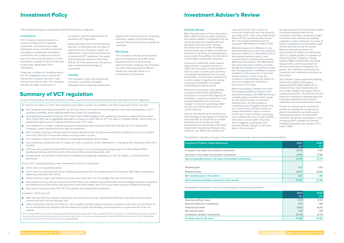The investment policy is designed to meet the Company's objective.

#### **Investments**

The Company invests primarily in a diverse portfolio of UK unquoted companies. Investments are made selectively across a number of sectors, principally in established companies. Investments are usually structured as part loan stock and part equity in order to produce a regular income stream and to generate capital gains from realisations.

There are a number of conditions within the VCT legislation which need to be met by the Company and which may change from time to time. The Company will seek to make investments in

accordance with the requirements of prevailing VCT legislation.

Asset allocation and risk diversification policies, including the size and type of investments the Company makes, are determined in part by the requirements of prevailing VCT legislation. No single investment may represent more than 15% (by VCT tax value) of the Company's total investments at the date of investment.

#### **Liquidity**

The Company's cash and liquid funds are held in a portfolio of readily realisable interest-bearing investments,

deposit and current accounts, of varying maturities, subject to the overriding criterion that the risk of loss of capital be

minimised.

**Borrowing**

The Company's Articles of Association permit borrowing of up to 10% of the adjusted capital and reserves (as defined therein). However, the Company has never borrowed and the Board would only consider doing so in exceptional circumstances.

### Investment Policy Investment Adviser's Review

#### **Portfolio Review**

More than one year on from a low point in March 2020 marked by value reductions and market volatility, it is apparent that the overall portfolio has adapted well and generally remained robust. Having recovered from the COVID-19 related decline by the start of 2021, and with the economic uncertainty now dissipating to some extent, the portfolio has returned to a more stable and positive trajectory.

It should be noted that, whilst markets helped deliver a buoyant recovery in 2020, the main driver of value growth in 2021 has been a continuation of strong underlying trading performance across the portfolio. This has been bolstered by a small number of significant re-ratings resulting from flotations or sizeable fundraisings during the period.

Whilst there have been a few portfolio companies which have experienced disruption as a result of the ongoing UK lockdowns, a significant proportion have actually benefited from a structural change in consumer purchasing habits and are now trading above their pre COVID-19 levels.

Overall, the majority of the portfolio has demonstrated a high degree of resilience, with over 90% of companies by number showing revenue and/or earnings progression over the previous two years. Investments classified as Retailers now comprise over 48% of the portfolio by

value, all of which have a direct-toconsumer model, with only one retaining any shops at all. In the case of both Virgin Wines UK PLC and Parsley Box Group PLC, this strong performance led to successful AIM flotations in March 2021.

Whilst the exposure to Retailers is very well diversified across the most attractive business models, it is noted that 22.5% of the invested portfolio value is now concentrated in the above two recently AIM-listed investments. The AIM market has witnessed some volatility as of late, though the Company's investments retain their strong position and Mobeus remains confident in their prospects. In line with market practice, in both cases the Company's shareholdings are subject to lock-up arrangements normal for a transaction of this type.

- the Company must hold at least 80%, by VCT tax value<sup>1</sup>, of its total investments (shares, securities and liquidity) in VCT qualifying holdings, within approximately three years of a fundraising;
- all qualifying investments made by VCTs after 5 April 2018, together with qualifying investments made by funds raised after 5 April 2011, are in aggregate required to comprise at least 70% by VCT tax value in "eligible shares", which carry no preferential rights (save as may be permitted under VCT rules);
- no investment in a single company or group of companies may represent more than 15% (by VCT tax value) of the Company's total investments at the date of investment;
- the Company must pay sufficient levels of income dividend from its revenue available for distribution so as not to retain more than 15% of its income from shares and securities in a year;
- the Company's shares must be listed on a regulated European stock market;
- non-qualifying investments can no longer be made, except for certain exemptions in managing the Company's short-term liquidity;
- VCTs are now required to invest 30% of funds raised in an accounting period beginning on or after 6 April 2018 in qualifying holdings within 12 months of the end of that accounting period, and
- the period for reinvestment of proceeds on disposal of qualifying investments is now 12 months, up from 6 months previously.

Within the portfolio, software and other technology-enabled businesses have performed strongly, with MPB attracting a sizeable equity investment from a large private equity investor in a Series D funding round. A small number of companies have struggled, though they are in the minority and their impact on overall shareholder return is minimal. Furthermore, some of these companies, such as Media Business Insight and RDL, have seen a recent uplift in business which suggests a potentially more positive outlook, though it is still early days in their recovery.

- offer secured loans to investee companies, and any returns on loan capital above 10% must represent no more than a commercial return on the principal; and
- make investments that do not meet the 'risk to capital' condition (which requires a company, at the time of investment, to be an entrepreneurial company with the objective to grow and develop, and where there is a genuine risk of loss of capital).

Strong trading activity levels have created investment opportunities for the Company as portfolio companies sought to enhance their positions by building capability in light of demand. A number of further investments were therefore made into the portfolio during the period. Mobeus continues to review the opportunities for follow-on investments and is in a good position to capitalise on these due to the Company's strong liquidity. M&A sentiment also remained buoyant with a continuing stream of attractive realisations throughout the period. The outlook for both follow-on investment and realisations continues to be positive.

The Company made investments totalling £4.47 million (2020: £1.68 million), comprising £3.15 million (2020: £0.27 million) into four new investments and £1.32 million (2020: £1.41 million) into four existing investments. This level of new and follow-on investment is pleasing given the continued uncertainty and lockdown restrictions over the period under review.

Overall, it is reassuring to see that the traditional investments, as well as the growth investments, are continuing to make good progress. A strong track record for the growth investments is now emerging which validates the revised strategy arising from the change in VCT rules in 2015.

The portfolio's valuation changes in the six month period under review are summarised as follows:

**Investment Portfolio Capital Movement** 

Increase in the value of unrealised investments

Decrease in the value of unrealised investments

| 2021<br>£m | 2020<br>£m |
|------------|------------|
| 22.76      | 4.59       |
| (0.41)     | (7.36)     |
| 22.35      | (2.77)     |
|            |            |
| 1.57       | 2.05       |
| (0.07)     | (0.06)     |
| 1.50       | 1.99       |
| 23.85      | (0.78)     |

**Net increase/(decrease) in the value of unrealised investments 22.35 (2.77)**

Realised gains

Realised losses

**Net realised gains in the period 1.50 1.99**

**Net investment portfolio movement in the period 23.85 (0.78)**

The portfolio movements in the six month period are summarised as follows:

Opening portfolio value New and follow-on investments Disposal proceeds Net realised gains Unrealised valuation movements

**Portfolio value at 30 June** 

| 2021<br>£m | 2020<br>£m |
|------------|------------|
| 51.14      | 51.70      |
| 4.47       | 1.68       |
| (6.61)     | (9.35)     |
| 1.50       | 1.99       |
| 22.35      | (2.77)     |
| 72.85      | 43.25      |

To maintain its status as a VCT, the Company must meet a number of conditions, the most important of which are that:

To be a VCT qualifying holding, new investments must be in companies:

- which carry on a qualifying trade;
- which have no more than £15 million of gross assets at the time of investment and no more than £16 million immediately following investment from VCTs;
- whose maximum age is generally up to seven years (ten years for knowledge intensive businesses);
- that receive no more than an annual limit of £5 million and a lifetime limit of £12 million (for knowledge intensive companies the lifetime limit is £20 million, and the annual limit is £10 million), from VCTs and similar sources of State Aid funding;
- that use the funds received from VCTs for growth and development purposes.

In addition, VCTs may not:

<sup>1</sup> VCT tax value means as valued in accordance with prevailing VCT legislation. The calculation of VCT tax value is arrived at using tax values, based on the cost of the most recent purchase of an investment instrument in a particular company, which may differ from the actual cost of each investment shown in the Investment Portfolio Summary on pages 10 to 12.

# Summary of VCT regulation

To assist Shareholders, the following table contains a summary of the most important rules that determine VCT approval.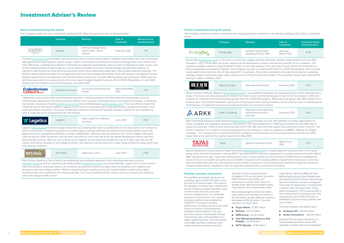### Investment Adviser's Review

#### **New investments during the period**

The Company made four new investments totalling £3.15 million during the period, as detailed below:

|          | Company  | <b>Business</b>                                              | Date of<br>investment | <b>Amount of new</b><br>investment (£m) |
|----------|----------|--------------------------------------------------------------|-----------------------|-----------------------------------------|
| VIVACITY | Vivacity | Artificial intelligence &<br>urban traffic control<br>system | February 2021         | 1.16                                    |

Vivacity (vivacitylabs.com) develops camera sensors with on-board video analytics software that enables real-time anonymised data gathering of road transport system usage. It offers city transport authorities the ability to manage their road infrastructure more effectively, enabling more efficient monitoring of congestion and pollution levels as well as planning for other issues, such as the changing nature of road usage (e.g. the increasing number of cyclists). The technology and software represent a significant leap forward for local planning authorities which have traditionally relied upon manual data collection methods. The growth capital funding will allow the management team to achieve deeper penetration of the UK transport management sector, explore opportunities internationally and commercialise its new Smart Junction offering. Revenues have grown 350% over the last three years and it has exceeded its most recent year's budget despite the onset of the COVID-19 pandemic. In April 2021, Vivacity won the Queen's Award for Enterprise: Innovation 2021.

| <b>Caledonian<br/>Leisure ud</b> | UK leisure and experience | March/April/May |  |
|----------------------------------|---------------------------|-----------------|--|
| Caledonian Leisure               | breaks                    | 2021            |  |

Caledonian Leisure works with accommodation providers, coach businesses and other experienced providers (such as entertainment destinations and theme parks) to deliver to its customers UK-based leisure and experience breaks. It comprises two brands, Caledonian Travel (caledoniantravel.com) and UK Breakaways (ukbreakaways.com). The very difficult impact that COVID-19 had on UK travel created an opportunity to invest in a business that is well positioned to expand as lockdown and travel restrictions are eased. The series of planned investment tranches will help the company prepare for and capitalise on what is expected to be strong demand for UK holidays.

| <b>※Legatics</b><br>Legatics | SaaS LegalTech software<br>business | June 2021 |  |
|------------------------------|-------------------------------------|-----------|--|
|------------------------------|-------------------------------------|-----------|--|

Legatics (legatics.com) transforms legal transactions by enabling deal teams to collaborate on and close deals in an interactive online environment. Designed by lawyers to improve legacy working methods and solve practical transactional issues, the legal transaction management platform increases collaboration, efficiency and transparency. As a result, Legatics has been used by around 1,500 companies, and has been procured by more than half of the top global banking and finance law firms, spanning 50 countries. With this new funding round, Legatics will be looking to double the size of its team over the next 18 months and further develop its technology to deliver new features and use cases for a wider range of practice areas within new and existing customers.

| Vet's Klinic<br>NEW WORLD OF PET CARE | Vet's Klinic | Veterinary clinics | June 2021 | 0.76 |
|---------------------------------------|--------------|--------------------|-----------|------|
|---------------------------------------|--------------|--------------------|-----------|------|

Pets' Kitchen (trading as Vet's Klinic) is an established and profitable veterinary clinic providing veterinary services (vetsklinic.co.uk) as well as a premium pet food provider (vetskitchen.co.uk). Its primary Swindon 'super clinic' is a first opinion veterinary practice where pet owners can schedule consultations online and obtain real time feedback of in-patient care through its own technology platform. Without compromising on quality of care, this model enables a significantly higher transaction per vet compared to the industry average. This new investment will be used to roll out its unique clinic model to other sites along the M4 corridor.

Spanish Restaurant Group (trading as Tapas Revolution) (tapasrevolution.com) is a leading Spanish Restaurant Group dining sector. At initial investment in January 2017, it was operating five sites and, subsequent to a further investment round in March 2018, had grown to 12 sites. Tapas was trading well and had a strong outlook up until the onset of COVID-19 which mandated the closure of much of its estate during the course of 2020 in response to the varying patterns of government restrictions. Costs have been controlled well under the circumstances and this further investment is to provide financial headroom through the remaining lockdown period and to capitalise on new site acquisition opportunities as restrictions are eased.

#### **Further investments during the period**

The Company made four further investments into existing portfolio companies in the period, totalling £1.32 million, as detailed below:

|            | Company     | <b>Business</b>                               | Date of<br>investment  | <b>Amount of further</b><br>investment (£m) |
|------------|-------------|-----------------------------------------------|------------------------|---------------------------------------------|
| ParsleyBox | Parsley Box | Ambient ready meals<br>targeting the over 60s | January/<br>March 2021 | 0.35                                        |

- $\bullet$  **Andersen EV**  $\text{\pounds}(0.23)$  million
- **Kudos Innovations** £(0.10) million

Parsley Box (parsleybox.com) is a UK direct to consumer supplier of home delivered, ambient ready meals for the over 60s. Founded in 2017, Parsley Box has grown rapidly and has developed a unique meal delivery solution for its customers. The company supplies a diverse range of ambient meals via next day delivery which are easy to store and aim to contribute to a more independent and healthier lifestyle. The company has seen a strong benefit from the COVID-19 pandemic with revenues nearly eight times that at the time of the original VCT investment. This further investment will scale the company's marketing strategy, enable it to process larger order volumes and continue to build out its team. The company's shares were admitted to trading on AIM on 31 March 2021.



range of haircare and colouring products. Bleach has made sound cor its direct-to-consumer channels benefiting greatly from the COVID-19 previous year. This further investment, along with strong support from infrastructure to enable the business to accelerate its direct-to-consumer

AARKK

Arkk Consulting Regulatory and requirement provider

| its brand                                                                                                                                                                                                                                               | February 2021 | 0.14 |  |  |  |
|---------------------------------------------------------------------------------------------------------------------------------------------------------------------------------------------------------------------------------------------------------|---------------|------|--|--|--|
| ned branded, fast growing business which manufactures a<br>mmercial progress since the VCTs invested in 2019 with<br>pandemic. Revenues have grown over 90% ahead of the<br>existing investors, will be used to invest in marketing and<br>mer channel. |               |      |  |  |  |
| ad reporting<br>service                                                                                                                                                                                                                                 | February 2021 | 0.62 |  |  |  |
|                                                                                                                                                                                                                                                         |               |      |  |  |  |

Arkk Consulting (trading as Arkk Solutions) (arkksolutions.com) provides services and software to enable organisations to remain compliant with regulatory reporting requirements. Arkk was established in 2009 and currently has over 800 clients across 20 countries. These include more than 80 of the FTSE 350, and half of the largest 20 accountancy firms in the UK. This further investment is to enable continued development of its software in order to capitalise on HMRC's 'Making Tax Digital' campaign. The company has incorporated artificial intelligence into its product and recurring revenues are now over 50% higher than at the point of the original investment in May 2019.

**TAPAS** 

Tapas Spanish restaurant Chain March

| เurant chain.                                            | March/June<br>2021 | O 21 |  |  |
|----------------------------------------------------------|--------------------|------|--|--|
| comì is a leading Spanish restaurant chain in the casual |                    |      |  |  |

#### **Portfolio valuation movements**

The portfolio generated significant net unrealised gains of £22.35 million in the first half of its financial year. The scale of the valuation increases was underpinned by the Company's growth portfolio, many of which have direct-to-consumer business models which, as mentioned previously, have thrived in the remote working conditions necessitated by COVID-19. This boost in trading performance will likely tail off as the world returns to normal, but a permanent change to some aspects in the way business is done is anticipated thereby

entrenching some of the portfolio on a higher operating plane. Over this period, some MBO portfolio companies with similar business practices have also

benefited. A few companies have struggled in this environment, and while there remains a possibility such businesses could fail, their value has already been reduced to modest levels, reducing the risk to shareholder value.

Net unrealised gains of £22.35 million were made up of valuation increases of £22.76 million partially offset by valuation decreases of £(0.41) million. The main valuation increases were:

- **Virgin Wines** £7.85 million
- **MyTutor** £2.73 million
- **MPB Group** £2.36 million
- **Vian Marketing (trading as Red Paddle)** - £2.34 million
	- **EOTH (Equip)** £1.92 million

Virgin Wines, MyTutor, MPB and Vian Marketing (trading as Red Paddle) have generated record revenues and earnings over the lockdown periods and beyond. They have all significantly increased their customer base and each have strong growth prospects. EOTH experienced a very strong end to its financial year, fully recovering to pre-COVID-19 levels of profitability and has strong visibility over future orders.

The main valuation decreases were:

Andersen EV has been operating in a fast-developing industry beset with regulatory hurdles that have challenged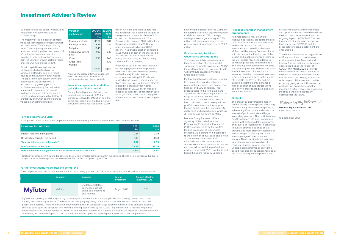its progress over the period, whilst Kudos Innovations has been impacted by contract delays.

The majority of the increase in portfolio value lies in the top ten companies which represent over 70% of the portfolio by value. Year-on-year growth by either revenues or earnings has been seen in all of the top ten companies and it is pleasing to note that eight of these are from the younger, growth portfolio made after the VCT rule change in 2015.

Growth capital investing involves companies which often have not achieved profitability and, as a result, have to be measured on other metrics. The table in the next column shows the proportion of the portfolio that is represented by growing yet to be profitable companies (often valued by reference to revenue or gross profit multiple), compared with more mature, established companies with a history of profitability and which can therefore be valued on an earnings multiple:

| <b>Valuation</b><br>methodology | 30 June<br>2021<br>$E_{\rm m}$ | 30 June<br>2020<br>£m |
|---------------------------------|--------------------------------|-----------------------|
| Revenue multiple                | 30.67                          | 19.84                 |
| Earnings multiple               | 23.29                          | 20.34                 |
| <b>Bid price</b>                | 16.40                          |                       |
| Recent investment<br>price      | 199                            | O 27                  |
| Other                           | 0.50                           | 148                   |
| Gross Profit<br>multiple        |                                | 1.32                  |
|                                 | 72.85                          | 43.25                 |

Note: See Glossary of terms on pages 30 and 31 for definitions of the financial performance terms in the above table

#### **Loan stock repayments and other gains/(losses) in the period**

During the half-year and following the admission of its shares to AIM, the Company received £1.59 million from the partial realisation of its holding in Parsley Box, generating a realised gain of £0.69

million. Over the two years to date that this investment has been held, this partial sale generated a multiple of cost of 4.0x on the cost of the shares sold. The Company also received £1.62 million from the partial realisation of MPB Group, generating a realised gain of £0.53 million. This partial realisation generated a 7.8x multiple of cost on the shares sold and was the result of a large private equity investor taking a sizeable equity investment in the company.

Proceeds of £3.12 million were received via loan repayments from Virgin Wines, MPB Group and Vian Marketing (trading as Red Paddle). Finally, deferred consideration totalling £0.35 million in realised gains was received in respect of Blaze Signs and Vectair, both investments realised in a previous year. A small realised loss of £(0.07) million was also recognised in respect of transaction costs for Virgin Wines due to stamp duty paid upon the admission of shares to listing on AIM.

#### **Portfolio income and yield**

In the period under review, the Company received the following amounts in loan interest and dividend income:

| Investment Portfolio Yield                                           | 2021<br>Em | 2020<br>Em |
|----------------------------------------------------------------------|------------|------------|
| Interest received in the period                                      | 0.54       | 2.39       |
| Dividends received in the period                                     | 0.08       | 0.30       |
| Total portfolio income in the period <sup>1</sup>                    | 0.62       | 2.69       |
| <b>Portfolio Value at 30 June</b>                                    | 72.85      | 43.25      |
| Portfolio Income Yield (Income as a % of Portfolio value at 30 June) | 0.9%       | 6.2%       |

1 Total portfolio income in the period is generated solely from investee companies within the portfolio. The fall in interest received is due to a significant interest receipt from the realisation of Auction Technology Group in 2020.

#### **Further investments made after the period-end**

The Company made one further investment into the existing portfolio of £0.82 million after the period-end, as detailed below:

|                | Company | <b>Business</b>                                                                    | Date of<br>investment | <b>Amount of further</b><br>investment (£m) |
|----------------|---------|------------------------------------------------------------------------------------|-----------------------|---------------------------------------------|
| <b>MyTutor</b> | MyTutor | Digital marketplace<br>connecting school<br>pupils seeking one-to-<br>one tutoring | August 2021           | 0.82                                        |

MyTutorweb (trading as MyTutor) is a digital marketplace that connects school pupils who are seeking private one-to-one tutoring with university students. The business is satisfying a growing demand from both schools and parents to improve pupils' exam results. This further investment, combined with a subsequent large investment from a listed strategic investor, seeks to build upon the structural shift to online tutoring accelerated by the COVID-19 pandemic whilst looking to grow its retention rates and unit economics. In 2020, the company was chosen as a Tutoring Partner for the National Tuition Programme where they will directly support 30,000 students in catching up on lost learning because of the COVID-19 pandemic.

Following the period-end, the Company sold part of its original equity investment in MyTutor made in 2017 to a large strategic investor, generating a £0.60 million realised gain compared to an original equity investment cost of £0.22 million.

#### **Environmental, Social and Governance considerations**

The Investment Adviser believes that the consideration of environmental, social and corporate governance ("ESG") factors throughout the investment cycle will contribute towards enhanced Shareholder value.

Each potential new investment is subject to a comprehensive due diligence process that encompasses commercial, financial and ESG principles. This process helps in the formulation and agreement of strategic objectives at the stage of business planning and investment. The Investment Adviser then continues to work closely with each portfolio company board to support them in addressing their particular ESG challenges and opportunities, which are diverse across the entire portfolio.

Mobeus Equity Partners LLP is a signatory of the United Nations Principles of Responsible Investment ("PRI"), considered to be the world's leading proponent of responsible investing. As a signatory, it must report to the PRI on an annual basis and is held accountable to worldwide ESG standards. As such, the Investment Adviser continues to develop its policies and procedures with the professional advice of specialist ESG consultants and keeps the Board regularly updated.

#### **Proposed change in management arrangements**

As Shareholders' may be aware, Mobeus has recently agreed to the sale of its VCT investment advisory business to Gresham House. The entire investment and operations teams at Mobeus will be joining Gresham House with the integration forming one of the largest and most experienced teams in the VCT sector which should lead to enhanced prospects for shareholders. The existing team at Gresham House is culturally aligned with Mobeus and has a similar investment philosophy. It is expected that this combined investment team will be a major force in the supply of capital to the VCT sector and it is expected that the team's enhanced market position should attract strong deal flow in order to produce attractive investment returns.

#### **Outlook**

The growth strategy implemented in 2015 is clearly showing signs of bearing fruit with many companies beginning to achieve significant scale and attract the interest of public markets and larger secondary investors. The portfolio is in a healthy position with many companies trading well throughout the lockdowns, and several at record levels. It continues to evolve, offering a balance of fastgrowing and more stable investments at various stages of maturity and scale across a range of diverse market sectors. There is a significant exposure to businesses operating a direct-toconsumer business model which has underpinned performance during the period. This also gives confidence about the future strength of the portfolio and

its ability to cope with the challenges and opportunities associated with Brexit the macro-economic outlook and the ongoing impact of COVID-19. The new investment pipeline is recovering to levels seen pre-COVID-19 and the prospects for capital deployment are encouraging.

There have been some strong portfolio uplifts underpinned by some large equity transactions, flotations and trading. The exceptional performance experienced since the impact of COVID-19 in March 2020 is likely to moderate over the next 12 months as the level of activity normalises. There remains much uncertainty around the wider impact of the pandemic on the economy going forward. However, the portfolio is in good shape and the investment activity levels are promising. Mobeus is therefore cautiously optimistic for the future.

Mokeus Equity Partners LLP

**Mobeus Equity Partners LLP** Investment Adviser

16 September 2021

### Investment Adviser's Review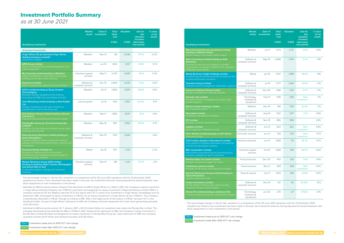|                                                                                                                                                                                             | <b>Market</b><br>sector                | Date of<br>investment | <b>Total</b><br>book<br>cost | <b>Valuation</b> | Like for<br>like<br>valuation<br>increase/ | % value<br>of net<br>assets |
|---------------------------------------------------------------------------------------------------------------------------------------------------------------------------------------------|----------------------------------------|-----------------------|------------------------------|------------------|--------------------------------------------|-----------------------------|
| <b>Qualifying investments</b>                                                                                                                                                               |                                        |                       | £'000                        | £'000            | (decrease)<br>over period <sup>1</sup>     |                             |
| <b>Manufacturing Services Investment Limited</b><br>(trading as Wetsuit Outlet)<br>Online retailer in the water sports market                                                               | Retailers                              | $Jul-17$              | 2,174                        | 2,172            | 0.0%                                       | 2.0%                        |
| <b>Arkk Consulting Limited (trading as Arkk</b><br>Solutions)<br>Provider of services and software to enable<br>organisations to remain compliant with regulatory<br>reporting requirements | Software &<br>computer services        | May-19                | 2,069                        | 2,150            | 0.2%                                       | 1.9%                        |
| <b>Media Business Insight Holdings Limited</b><br>A publishing and events business focused on the<br>creative production industries                                                         | Media                                  | $Jan-15$              | 2,517                        | 1,899            | 118.0%                                     | 1.8%                        |
| <b>Tharstern Group Limited</b><br>Software based management information systems                                                                                                             | Software &<br>computer services        | $Jul-14$              | 1,377                        | 1,630            | 24.6%                                      | 1.5%                        |
| <b>Connect Childcare Group Limited</b><br>Nursery management software provider                                                                                                              | Software &<br>computer services        | Dec-20                | 1,168                        | 1,421            | 21.7%                                      | 1.3%                        |
| <b>Vivacity Labs Limited</b><br>Provider of artificial intelligence & urban traffic<br>control systems                                                                                      | Technology,<br>hardware &<br>equipment | Feb-21                | 1,158                        | 1,158            | <b>New</b><br>investment                   | 1.1%                        |
| <b>Bleach London Holdings Limited</b><br>Hair colourants brand                                                                                                                              | <b>Retailers</b>                       | Dec-19                | 816                          | 1,153            | (6.4)%                                     | 1.1%                        |
| <b>Rota Geek Limited</b><br>Workforce management software                                                                                                                                   | Software &<br>computer services        | Aug-18                | 1,142                        | 1,017            | 7.2%                                       | 0.9%                        |
| <b>IPV Limited</b><br>Provider of media asset software                                                                                                                                      | Software &<br>computer services        | <b>Nov-19</b>         | 890                          | 890              |                                            | 0.8%                        |
| <b>Legatics Limited</b><br>SaaS LegalTech software provider                                                                                                                                 | Software &<br>computer services        | <b>Jun-21</b>         | 822                          | 822              | <b>New</b><br>investment                   | 0.8%                        |
| Pets' Kitchen Limited (trading as Vet's Klinic)<br>Veterinary clinics                                                                                                                       | Consumer services                      | <b>Jun-21</b>         | 763                          | 763              | <b>New</b><br>investment                   | 0.7%                        |
| <b>CGI Creative Graphics International Limited</b><br>Vinyl graphics to global automotive, recreational<br>vehicle and aerospace markets                                                    | General industrials                    | $Jun-14$              | 1,808                        | 713              | 46.3%                                      | 0.7%                        |
| <b>RDL Corporation Limited</b><br>Recruitment consultants for the pharmaceutical,<br>business intelligence and IT industries                                                                | Industrial support<br>services         | Oct-10                | 1,558                        | 495              | 109.7%                                     | 0.5%                        |
| <b>Northern Bloc Ice Cream Limited</b><br>Supplier of premium vegan ice cream                                                                                                               | Food producers                         | $Dec-20$              | 420                          | 435              | 3.6%                                       | 0.4%                        |
| Caledonian Leisure Limited<br>Provider of UK leisure and experience breaks                                                                                                                  | Travel & leisure                       | Mar-21                | 409                          | 409              | <b>New</b><br>investment                   | 0.4%                        |
| Spanish Restaurant Group Limited (trading as<br><b>Tapas Revolution)</b><br>Spanish restaurant chain                                                                                        | Travel & Leisure                       | Jan-17                | 1,453                        | 369              | (2.8)%                                     | 0.3%                        |
| <b>Kudos Innovations Limited</b><br>Online platform that provides and promotes<br>academic research dissemination                                                                           | Software &<br>computer services        | <b>Nov-18</b>         | 421                          | 92               | $(52.8)\%$                                 | 0.1%                        |
| Muller EV Limited (trading as Andersen EV)<br>Provider of premium electric vehicle (EV) chargers                                                                                            | Technology,<br>hardware &<br>equipment | $Jun-20$              | 270                          | 67               | $(77.6)$ %                                 | 0.1%                        |

1 - This percentage change in 'like for like' valuations is a comparison of the 30 June 2021 valuations with the 31 December 2020 valuations (or where a new investment has been made in the year, the investment amount), having adjusted for partial disposals, loan stock repayments or new investments in the period.



### Investment Portfolio Summary

as at 30 June 2021

- <sup>2</sup> Admitted to AIM during the period. Ahead of the Admission to AIM of Virgin Wines on 2 March 2021, the Company's equity investment in Virgin Wines Holding Company Ltd ("VWHCL") had been exchanged for an equity investment in Rapunzel Newco Limited ("RNL"), a company owned by the four Mobeus advised VCTs pro rata to each VCT's share of its investment in Virgin Wines. Immediately prior to Admission, RNL exchanged its equity investment in VWHCL for an equity investment in Virgin Wines UK plc ("VWUK"). The Company is beneficially interested in VWUK, through its holding in RNL. RNL is the legal owner of the shares in VWUK, but each VCT is the beneficial holder. As part of Virgin Wines' admission to AIM, the Company received repayment of its loan stock generating proceeds of £2.38 million.
- 3 Admitted to AIM during the period. On 7 January 2021, a £0.33 million follow-on investment was made into Parsley Box Limited. The enlarged shareholding was admitted to AIM on 31 March 2021. Ahead of the admission to AIM, the Company's equity investment in Parsley Box Limited had been exchanged for an equity investment in Parsley Box Group plc. Upon admission to AIM, the Company invested a further £0.01 million and realised proceeds of £1.59 million.

Investment made prior to 2015 VCT rule change Investment made after 2015 VCT rule change

| <b>Qualifying investments</b>                                                                                                                                                                   | <b>Market</b><br>sector         | Date of<br>investment | <b>Total</b><br>book<br>cost<br>£'000 | <b>Valuation</b><br>£'000 | Like for<br>like<br>valuation<br>increase/<br>(decrease)<br>over period <sup>1</sup> | % value<br>of net<br>assets |
|-------------------------------------------------------------------------------------------------------------------------------------------------------------------------------------------------|---------------------------------|-----------------------|---------------------------------------|---------------------------|--------------------------------------------------------------------------------------|-----------------------------|
| <b>Unquoted investments</b>                                                                                                                                                                     |                                 |                       |                                       |                           |                                                                                      |                             |
| Virgin Wines UK plc (formerly Virgin Wines<br>Holding Company Limited) <sup>2</sup><br>Online wine retailer                                                                                     | Retailers                       | Nov-13                | 58                                    | 13,446                    | 97.5%                                                                                | 12.5%                       |
| <b>MPB Group Limited</b><br>Online marketplace for used photographic and<br>video equipment                                                                                                     | Retailers                       | Jun-16                | 1,404                                 | 6,137                     | 54.6%                                                                                | 5.7%                        |
| My Tutorweb Limited (trading as MyTutor)<br>Digital marketplace connecting school pupils<br>seeking one-to-one online tutoring                                                                  | Industrial support<br>services  | May-17                | 2,374                                 | 5,640                     | 94.1%                                                                                | 5.3%                        |
| <b>Preservica Limited</b><br>Seller of proprietary digital archiving software                                                                                                                   | Software &<br>computer services | Dec-15                | 2,849                                 | 5,420                     | 13.4%                                                                                | 5.0%                        |
| <b>EOTH Limited (trading as Equip Outdoor</b><br><b>Technologies)</b><br>Branded outdoor equipment and clothing<br>(including the RAB and Lowe Alpine brands)                                   | Retailers                       | Oct-11                | 1,000                                 | 4,870                     | 58.6%                                                                                | 4.5%                        |
| Vian Marketing Limited (trading as Red Paddle<br>$Co$ )<br>Design, manufacture and sale of stand-up<br>paddleboards and windsurfing sails                                                       | Leisure goods                   | $Jul-15$              | 825                                   | 3,967                     | 120.8%                                                                               | 3.7%                        |
| <b>End Ordinary Group Limited (trading as Buster</b><br>and Punch)<br>Industrial inspired lighting and interiors retailer                                                                       | <b>Retailers</b>                | $Mar-17$              | 1.885                                 | 3,670                     | 10.1%                                                                                | 3.4%                        |
| Parsley Box Group plc (formerly Parsley Box<br>Limited) <sup>3</sup><br>Supplier of home delivered ambient ready meals<br>targeting the over 60s                                                | Retailers                       | May-19                | 807                                   | 2,952                     | 69.4%                                                                                | 2.7%                        |
| Data Discovery Solutions Limited (trading as<br><b>Active Navigation)</b><br>Provider of global market leading file analysis<br>software for information governance, security and<br>compliance | Software &<br>computer services | <b>Nov-19</b>         | 1,413                                 | 2,826                     |                                                                                      | 2.6%                        |
| <b>Proactive Group Holdings Inc</b><br>Provider of media services and investor<br>conferences for companies primarily listed on<br>secondary public markets                                     | Media                           | $Jan-18$              | 927                                   | 2,331                     |                                                                                      | 2.2%                        |
| <b>Master Removers Group 2019 Limited</b><br>(trading as Anthony Ward Thomas, Bishopsgate<br>and Aussie Man & Van)<br>A specialist logistics, storage and removals<br><b>business</b>           | Industrial support<br>services  | Dec-14                | 418                                   | 2,213                     | 76.4%                                                                                | 2.1%                        |

1 - This percentage change in 'like for like' valuations is a comparison of the 30 June 2021 valuations with the 31 December 2020 valuations (or where a new investment has been made in the year, the investment amount), having adjusted for partial disposals, loan stock repayments or new investments in the period.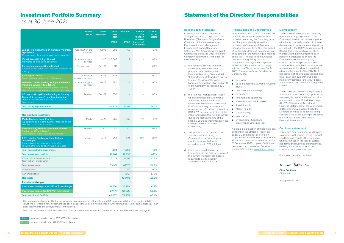## Statement of the Directors' Responsibilities

#### **Responsibility statement**

In accordance with Disclosure and Transparency Rule (DTR) 4.2.10, Clive Boothman (Chairman), Bridget Guérin (Chairman of the Nominations and Remuneration and Management Engagement Committees), and Catherine Wall (Chairman of the Audit Committee), being the Directors of the Company, confirm that, to the best of their knowledge:

- a) the condensed set of financial statements, which has been prepared in accordance with Financial Reporting Standard 104 "Interim Financial Reporting" gives a true and fair view of the assets, liabilities, financial position and profit of the Company, as required by DTR  $4.210$
- b) the Half-Year Management Report which comprises the Chairman's Statement, Investment Policy, Investment Review and Investment Portfolio Summary includes a fair review of the information required by DTR 4.2.7, being an indication of the important events that have occurred during the first six months of the financial year and their impact on the  $\bullet$  Evironmental, Social and condensed set of financial statements;
- c) a description of the principal risks and uncertainties facing the Company for the remaining six months is set out below, in accordance with DTR 4.2.7; and
- d) there were no related party transactions in the first six months of the current financial year that are required to be disclosed in accordance with DTR 4.2.8.

- Economic;
- Loss of approval as a Venture Capital Trust;
- Investment and strategic;
- Regulatory;
- Financial and operating;
	- Valuations and stock market;
	- Asset liquidity;
	- Market liquidity;
	- Counterparty;
	- Key staff; and
		- Governance Emerging Risk.

#### **Principal risks and uncertainties**

In accordance with DTR 4.2.7, the Board confirms that the principal risks and uncertainties facing the Company have not changed materially since the publication of the Annual Report and Financial Statements for the year ended 31 December 2020 and no changes are anticipated for the remaining six months of the year. The Board acknowledges that there is regulatory risk and continues to manage the Company's affairs in such a manner as to comply with section 274 of the Income Tax Act 2007. The principal risks faced by the Company are:

A detailed explanation of these risks can be found in the Strategic Report on pages 30 and 31 and in Note 15 on pages 67 to 72 of the Annual Report and Financial Statements for the year ended 31 December 2020, copies of which can be viewed or downloaded from the Company's website: www.migvct.co.uk

**12** Mobeus Income & Growth VCT plc Half-Year Report 2021 Half-Year Report 2021 Mobeus Income & Growth VCT plc **13** 

#### **Going concern**

The Board has assessed the Company's operation as a going concern. The Company's business activities, together with the factors likely to affect its future development, performance and position are set out in the Half-Year Management Report. The Directors have satisfied themselves that the Company's cash position is adequate to enable the Company to continue as a going concern under any plausible stress scenario. The portfolio taken as a whole remains resilient and well-diversified although the impact of the COVID-19 pandemic is still being experienced. The major cash outflows of the Company (namely investments, share buy-backs and dividends) are within the Company's control.

The Board's assessment of liquidity risk and details of the Company's policies for managing its capital and financial risks are shown in Notes 15 and 16 on pages 62 - 72 of the Annual Report and Financial Statements for the year ended 31 December 2020. Accordingly, the Directors continue to adopt the going concern basis of accounting in preparing the Half-Year Report and Annual Financial Statements.

#### **Cautionary statement**

This report may contain forward looking statements with regards to the financial condition and results of the Company, which are made in the light of current economic and business circumstances. Nothing in this report should be construed as a profit forecast.

For and on behalf of the Board:

C. no. Boothma

**Clive Boothman**  Chairman

16 September 2021

|                                                                                                                                                                                    | <b>Market</b><br>sector         | Date of<br>investment | <b>Total</b><br>book<br>cost<br>£'000 | <b>Valuation</b><br>£'000 | Like for<br><b>like</b><br>valuation<br>increase/<br>(decrease)<br>over period <sup>1</sup> | % value<br>of $net$<br>assets |
|------------------------------------------------------------------------------------------------------------------------------------------------------------------------------------|---------------------------------|-----------------------|---------------------------------------|---------------------------|---------------------------------------------------------------------------------------------|-------------------------------|
| Jablite Holdings Limited (in members' voluntary<br>liquidation)<br>Manufacturer of expanded polystyrene products                                                                   | Construction and<br>materials   | Apr-15                | 502                                   | 66                        |                                                                                             | 0.1%                          |
| <b>Veritek Global Holdings Limited</b><br>Maintenance of imaging equipment                                                                                                         | Industrial support<br>services  | $Jul-13$              | 2,045                                 | $\overline{2}$            |                                                                                             | 0.0%                          |
| <b>Racoon International Group Limited</b><br>Supplier of hair extensions, hair care products and<br>training                                                                       | Personal goods                  | Dec-06                | 1,213                                 | $\overline{\phantom{a}}$  |                                                                                             | 0.0%                          |
| <b>BookingTek Limited</b><br>Direct booking software for hotel groups                                                                                                              | Software &<br>computer services | Oct-16                | 688                                   | $\overline{\phantom{a}}$  |                                                                                             | 0.0%                          |
| Oakheath Limited (trading as Super Carers) (in<br>members' voluntary liquidation)<br>Online platform that connects people seeking<br>home care from experienced independent carers | Industrial support<br>services  | Mar-18                | 580                                   |                           |                                                                                             | 0.0%                          |
| <b>CB Imports Group Limited (trading as Country</b><br>Baskets) (in members' voluntary liquidation)<br>Importer and distributor of artificial flowers and<br>floral sundries       | Retailers                       | Dec-09                | 350                                   |                           |                                                                                             | 0.0%                          |
| <b>Total qualifying investments</b>                                                                                                                                                |                                 |                       | 40,573                                | 71.195                    |                                                                                             | 66.2%                         |
|                                                                                                                                                                                    |                                 |                       |                                       |                           |                                                                                             |                               |
| Non-qualifying investments                                                                                                                                                         |                                 |                       |                                       |                           |                                                                                             |                               |
| <b>Media Business Insight Limited</b><br>A publishing and events business focused on the<br>creative production industries                                                         | Media                           | $Jan-15$              | 765                                   | 765                       | 7.1%                                                                                        | 0.7%                          |
| <b>Manufacturing Services Investment Limited</b><br>(trading as Wetsuit Outlet)<br>Online retailer in the water sports market                                                      | Retailers                       | Jul-17                | 571                                   | 571                       |                                                                                             | 0.5%                          |
| <b>EOTH Limited (trading as Equip Outdoor</b><br><b>Technologies)</b><br>Branded outdoor equipment and clothing<br>(including the RAB and Lowe Alpine brands)                      | <b>Retailers</b>                | Oct-11                | 298                                   | 324                       | $(0.1)$ %                                                                                   | 0.3%                          |
| <b>Total non-qualifying investments</b>                                                                                                                                            |                                 |                       | 1,634                                 | 1,660                     |                                                                                             | 1.5%                          |
| <b>Total investment portfolio</b>                                                                                                                                                  |                                 |                       | 42,207                                | 72,855                    |                                                                                             | 67.7%                         |
| Current asset investments and<br>Cash at bank and in hand <sup>2</sup>                                                                                                             |                                 |                       | 31,774                                | 34,915                    |                                                                                             | 32.5%                         |
| <b>Total investments</b>                                                                                                                                                           |                                 |                       | 73,981                                | 107,770                   |                                                                                             | 100.2%                        |
| Other assets                                                                                                                                                                       |                                 |                       |                                       | 180                       |                                                                                             | 0.3%                          |
| <b>Current liabilities</b>                                                                                                                                                         |                                 |                       |                                       | (542)                     |                                                                                             | (0.5)%                        |
| <b>Net assets</b>                                                                                                                                                                  |                                 |                       |                                       | 107,408                   |                                                                                             | 100.0%                        |
| Portfolio split by type                                                                                                                                                            |                                 |                       |                                       |                           |                                                                                             |                               |
| Investments made prior to 2015 VCT rule change                                                                                                                                     |                                 |                       | 14,736                                | 30,389                    |                                                                                             | 41.7%                         |
| Investments made after 2015 VCT rule change                                                                                                                                        |                                 |                       | 27,471                                | 42,466                    |                                                                                             | 58.3%                         |
| <b>Total Investment Portfolio</b>                                                                                                                                                  |                                 |                       | 42,207                                | 72,855                    |                                                                                             | 100.0%                        |

1 - This percentage change in 'like for like' valuations is a comparison of the 30 June 2021 valuations with the 31 December 2020 valuations (or where a new investment has been made in the year, the investment amount), having adjusted for partial disposals, loan stock repayments or new investments in the period.

<sup>2</sup> - Disclosed as Current Asset Investments and Cash at bank and in hand within Current assets in the Balance Sheet on page 16.

Investment made prior to 2015 VCT rule change

Investment made after 2015 VCT rule change

### Investment Portfolio Summary

as at 30 June 2021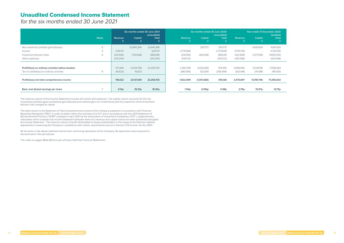### Unaudited Condensed Income Statement

for the six months ended 30 June 2021

|                                                      |              | Six months ended 30 June 2021<br>(unaudited) |                          |                          | Six months ended 30 June 2020<br>(unaudited) |                          |                   | Year ended 31 December 2020<br>(audited) |               |              |
|------------------------------------------------------|--------------|----------------------------------------------|--------------------------|--------------------------|----------------------------------------------|--------------------------|-------------------|------------------------------------------|---------------|--------------|
|                                                      | <b>Notes</b> | Revenue                                      | Capital                  | <b>Total</b>             | <b>Revenue</b><br>£                          | Capital                  | <b>Total</b>      | Revenue                                  | Capital       | <b>Total</b> |
| Net investment portfolio gains/(losses)              | 9            |                                              | 23,845,396               | 23,845,396               | $\sim$                                       | (787,177)                | (787,177)         | $\sim$                                   | 14,811,634    | 14,811,634   |
| Income                                               |              | 629,731                                      | $\overline{\phantom{0}}$ | 629,731                  | 2,770,006                                    | $\overline{\phantom{a}}$ | 2,770,006         | 4,754,700                                |               | 4,754,700    |
| Investment Adviser's fees                            |              | (241, 546)                                   | (724, 638)               | (966, 184)               | (214, 035)                                   | (642,106)                | (856, 141)        | (423, 839)                               | (1, 271, 516) | (1,695,355)  |
| Other expenses                                       |              | (215, 240)                                   |                          | (215, 240)               | (253,172)                                    | $\sim$                   | (253, 172)        | (424, 396)                               |               | (424, 396)   |
|                                                      |              |                                              |                          |                          |                                              |                          |                   |                                          |               |              |
| Profit/(loss) on ordinary activities before taxation |              | 172,945                                      | 23,120,758               | 23,293,703               | 2,302,799                                    | (1,429,283)              | 873,516           | 3,906,465                                | 13,540,118    | 17,446,583   |
| Tax on profit/(loss) on ordinary activities          | 6            | (16, 823)                                    | 16,823                   | $\overline{\phantom{a}}$ | (380, 390)                                   | 122,000                  | (258, 390)        | (432, 618)                               | 241,588       | (191,030)    |
| Profit/(loss) and total comprehensive income         |              | 156,122                                      | 23,137,581               | 23,293,703               | 1,922,409                                    | (1, 307, 283)            | 615,126           | 3,473,847                                | 13,781,706    | 17,255,553   |
| Basic and diluted earnings per share                 |              | 0.12p                                        | 18.33p                   | 18.45p                   | 1.54 <sub>p</sub>                            | (1.05)p                  | 0.49 <sub>p</sub> | 2.76p                                    | 10.97p        | 13.73p       |

The revenue column of the Income Statement includes all income and expenses. The capital column accounts for the net investment portfolio gains (unrealised gains/(losses) and realised gains on investments) and the proportion of the Investment Adviser's fee charged to capital.

The total column is the Statement of Total Comprehensive Income of the Company prepared in accordance with Financial Reporting Standards ("FRS"). In order to better reflect the activities of a VCT and in accordance with the 2014 Statement of Recommended Practice ("SORP") updated in April 2021 by the Association of Investment Companies ("AIC"), supplementary information which analyses the Income Statement between items of a revenue and capital nature has been presented alongside the Income Statement. The revenue column of profit attributable to equity shareholders is the measure the Directors believe appropriate in assessing the Company's compliance with certain requirements set out in Section 274 Income Tax Act 2007.

All the items in the above statement derive from continuing operations of the Company. No operations were acquired or discontinued in the period/year.

The notes on pages 20 to 25 form part of these Half-Year Financial Statements.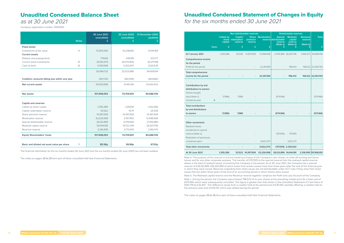|                                                                                                     |              | Called up<br>capital | Non-distributable reserves<br>Capital<br>share redemption<br>reserve | <b>Share Revaluation</b> | <b>Distributable reserves</b><br><b>Special</b><br>reserve distributable<br>reserve<br>(Note a) | <b>Total</b> |                       |               |                       |
|-----------------------------------------------------------------------------------------------------|--------------|----------------------|----------------------------------------------------------------------|--------------------------|-------------------------------------------------------------------------------------------------|--------------|-----------------------|---------------|-----------------------|
|                                                                                                     | <b>Notes</b> | £                    | £                                                                    | £                        | £                                                                                               | £            | (Note b)<br>£         | (Note b)<br>£ | £                     |
| At 1 January 2021                                                                                   |              | 1,263,366            | 25,536                                                               | 14,397,509               | 12,498,006                                                                                      |              | 27,415,880 26,927,746 | 2,160,473     | 84,688,516            |
| Comprehensive income<br>for the period                                                              |              |                      |                                                                      |                          |                                                                                                 |              |                       |               |                       |
| Profit for the period                                                                               |              |                      |                                                                      |                          | 22,351,169                                                                                      |              | 786,412               |               | 156,122 23,293,703    |
| <b>Total comprehensive</b><br>income for the period                                                 |              |                      |                                                                      |                          | 22,351,169                                                                                      |              | 786,412               |               | 156,122 23,293,703    |
| Contributions by and<br>distributions to owners<br>Shares bought<br>back (Note c)<br>Dividends paid | 8            | (7,986)              | 7,986                                                                |                          |                                                                                                 | (574,166)    |                       |               | (574,166)             |
| <b>Total contributions</b><br>by and distributions<br>to owners                                     |              | (7,986)              | 7,986                                                                |                          |                                                                                                 | (574, 166)   |                       |               | (574, 166)            |
| <b>Other movements</b><br>Realised losses<br>transferred to special                                 |              |                      |                                                                      |                          |                                                                                                 |              |                       |               |                       |
| reserve (Note a)                                                                                    |              |                      |                                                                      |                          |                                                                                                 | (707, 815)   | 707,815               |               |                       |
| Realisation of previously<br>unrealised gains                                                       |              |                      |                                                                      |                          | (1,622,217)                                                                                     |              | 1,622,217             |               |                       |
| <b>Total other movements</b>                                                                        |              |                      |                                                                      |                          | (1,622,217)                                                                                     |              | (707,815) 2,330,032   |               |                       |
| At 30 June 2021                                                                                     |              | 1,255,380            |                                                                      | 33,522 14,397,509        | 33,226,958                                                                                      |              | 26,133,899 30,044,190 |               | 2,316,595 107,408,053 |

Note a: The purpose of this reserve is to fund market purchases of the Company's own shares, to write off existing and future losses and for any other corporate purpose. The transfer of £707,815 to the special reserve from the realised capital reserve above is the total of realised losses incurred by the Company in the period. As at 30 June 2021, the Company has a special reserve of £26,133,899, £18,320,994 of which arises from shares issued more than three years after the end of the financial year in which they were issued. Reserves originating from share issues are not distributable under VCT rules if they arise from share issues that are within three years of the end of an accounting period in which shares were issued.

Note b: The Realised capital reserve and the Revenue reserve together comprise the Profit and Loss Account of the Company. Note c: During the period, the Company repurchased 798,572 of its own shares at the prevailing market price for a total cost of £574,166, which were subsequently cancelled. This figure is greater than that shown in the Unaudited Statement of Cash flows of £541,719 by £32,447. This difference arises from a creditor held at the period-end of £76,561, partially offset by a creditor held at

the previous year-end of £44,114, which was settled during the period.

The notes on pages 20 to 25 form part of these unaudited Half-Year Financial Statements.

### Unaudited Condensed Balance Sheet

### as at 30 June 2021

Company registration number: 05153931

## Unaudited Condensed Statement of Changes in Equity for the six months ended 30 June 2021

|                                                 | <b>Notes</b>    | 30 June 2021<br>(unaudited)<br>£ | 30 June 2020<br>(unaudited)<br>£ | 31 December 2020<br>(audited)<br>£ |
|-------------------------------------------------|-----------------|----------------------------------|----------------------------------|------------------------------------|
| <b>Fixed assets</b>                             |                 |                                  |                                  |                                    |
| Investments at fair value                       | 9               | 72,855,045                       | 43,248,661                       | 51,144,184                         |
| <b>Current assets</b>                           |                 |                                  |                                  |                                    |
| Debtors and prepayments                         |                 | 179,615                          | 249,195                          | 517,277                            |
| Current asset investments                       | 10 <sup>°</sup> | 30,561,479                       | 28,570,843                       | 30,371,198                         |
| Cash at bank                                    | 10 <sup>°</sup> | 4,353,638                        | 3,203,047                        | 3,120,539                          |
|                                                 |                 | 35,094,732                       | 32,023,085                       | 34,009,014                         |
| Creditors: amounts falling due within one year  |                 | (541,724)                        | (561, 945)                       | (464, 682)                         |
| Net current assets                              |                 | 34,553,008                       | 31,461,140                       | 33,544,332                         |
| <b>Net assets</b>                               |                 | 107,408,053                      | 74,709,801                       | 84,688,516                         |
|                                                 |                 |                                  |                                  |                                    |
| Capital and reserves<br>Called up share capital |                 | 1,255,380                        | 1,269,191                        | 1,263,366                          |
| Capital redemption reserve                      |                 | 33,522                           | 19,711                           | 25,536                             |
| Share premium reserve                           |                 | 14,397,509                       | 14,397,509                       | 14,397,509                         |
| Revaluation reserve                             |                 | 33,226,958                       | 3,767,953                        | 12,498,006                         |
| Special distributable reserve                   |                 | 26,133,899                       | 31,759,150                       | 27,415,880                         |
| Realised capital reserve                        |                 | 30,044,190                       | 19,722,344                       | 26,927,746                         |
| Revenue reserve                                 |                 | 2,316,595                        | 3,773,943                        | 2,160,473                          |
| <b>Equity Shareholders' funds</b>               |                 | 107,408,053                      | 74,709,801                       | 84,688,516                         |
| Basic and diluted net asset value per share     | 11              | 85.56p                           | 58.86p                           | 67.03p                             |

The financial information for the six months ended 30 June 2021 and the six months ended 30 June 2020 has not been audited.

The notes on pages 20 to 25 form part of these unaudited Half-Year Financial Statements.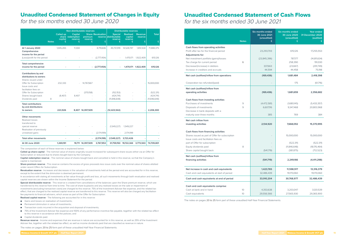## Unaudited Condensed Statement of Cash Flows for the six months ended 30 June 2021

### Unaudited Condensed Statement of Changes in Equity

for the six months ended 30 June 2020

|                                                                                                                                             |              |                           | Non-distributable reserves                         |                          |                               | <b>Distributable reserves</b>                    |                                            |                         |                                           |
|---------------------------------------------------------------------------------------------------------------------------------------------|--------------|---------------------------|----------------------------------------------------|--------------------------|-------------------------------|--------------------------------------------------|--------------------------------------------|-------------------------|-------------------------------------------|
|                                                                                                                                             | <b>Notes</b> | Called up<br>capital<br>£ | <b>Capital</b><br>share redemption<br>reserve<br>£ | premium<br>reserve<br>£  | <b>Share Revaluation</b><br>£ | Special<br>reserve distributable<br>reserve<br>£ | <b>Realised</b><br>capital<br>reserve<br>£ | Revenue<br>reserve<br>£ | <b>Total</b><br>£                         |
| At 1 January 2020<br>Comprehensive                                                                                                          |              | 1,045,265                 | 11.304                                             |                          | 8,719,606                     | 45,731,919                                       | 14,528,747                                 | 1,851,534               | 71,888,375                                |
| income for the period<br>(Loss)/profit for the period                                                                                       |              |                           |                                                    |                          | (2,777,454)                   |                                                  | 1,470,171                                  | 1,922,409               | 615,126                                   |
| <b>Total comprehensive</b><br>income for the period                                                                                         |              |                           |                                                    |                          | (2,777,454)                   |                                                  |                                            | 1,470,171 1,922,409     | 615,126                                   |
| Contributions by and<br>distributions to owners<br>Shares issued under<br>Offer for Subscription<br>Issue costs and<br>facilitation fees on |              | 232,333                   |                                                    | 14,767,667               |                               |                                                  |                                            |                         | 15,000,000                                |
| Offer for Subscription<br>Shares bought back<br>Dividends paid                                                                              | 8            | (8,407)                   | 8,407                                              | (370,158)                |                               | (152, 153)<br>(424,741)<br>(11, 846, 648)        |                                            | ÷,<br>ä,                | (522, 311)<br>(424,741)<br>(11, 846, 648) |
| <b>Total contributions</b><br>by and distributions<br>to owners                                                                             |              | 223,926                   |                                                    | 8,407 14,397,509         |                               | (12, 423, 542)                                   |                                            |                         | 2,206,300                                 |
| <b>Other movements</b><br>Realised losses<br>transferred to<br>special reserve<br>Realisation of previously<br>unrealised gains             |              |                           |                                                    |                          | (2,174,199)                   | (1,549,227)                                      | 1,549,227<br>2,174,199                     |                         |                                           |
| <b>Total other movements</b>                                                                                                                |              |                           |                                                    | $\overline{\phantom{a}}$ | (2,174,199)                   | (1,549,227)                                      | 3,723,426                                  |                         |                                           |
| At 30 June 2020                                                                                                                             |              | 1,269,191                 |                                                    | 19,711 14,397,509        | 3,767,953                     |                                                  | 31,759,150 19,722,344                      | 3,773,943               | 74,709,801                                |

|                                                                          | <b>Notes</b> | Six months ended<br>30 June 2021<br>(unaudited)<br>£ | <b>Six months ended</b><br>30 June 2020<br>(unaudited)<br>£ | Year ended<br>31 December 2020<br>(audited)<br>£ |
|--------------------------------------------------------------------------|--------------|------------------------------------------------------|-------------------------------------------------------------|--------------------------------------------------|
| Cash flows from operating activities                                     |              |                                                      |                                                             |                                                  |
| Profit after tax for the financial period                                |              | 23,293,703                                           | 615,126                                                     | 17,255,553                                       |
| <b>Adjustments for:</b>                                                  |              |                                                      |                                                             |                                                  |
| Net investment portfolio (gains)/losses<br>Tax charge for current period | 6            | (23,845,396)                                         | 787,177<br>258,390                                          | (14, 811, 634)<br>191,030                        |
| Decrease/(increase) in debtors                                           |              | 337,663                                              | (23,667)                                                    | (291,749)                                        |
| Increase in creditors and accruals                                       |              | 44,594                                               | 44,458                                                      | 75,198                                           |
| Net cash (outflow)/inflow from operations                                |              | (169, 436)                                           | 1,681,484                                                   | 2,418,398                                        |
| Corporation tax refunded/(paid)                                          |              |                                                      | 175                                                         | (61,716)                                         |
| Net cash (outflow)/inflow from                                           |              |                                                      |                                                             |                                                  |
| operating activities                                                     |              | (169, 436)                                           | 1,681,659                                                   | 2,356,682                                        |
| Cash flows from investing activities                                     |              |                                                      |                                                             |                                                  |
| Purchases of investments                                                 | 9            | (4,472,581)                                          | (1,680,145)                                                 | (5,433,357)                                      |
| Disposals of investments                                                 | 9            | 6,607,116                                            | 9,347,468                                                   | 20,803,968                                       |
| Decrease in bank deposits with a                                         |              |                                                      |                                                             |                                                  |
| maturity over three months                                               |              | 385                                                  | 769                                                         | 384                                              |
| Net cash inflow from                                                     |              |                                                      |                                                             |                                                  |
| investing activities                                                     |              | 2,134,920                                            | 7,668,092                                                   | 15,370,995                                       |
| Cash flows from financing activities                                     |              |                                                      |                                                             |                                                  |
| Shares issued as part of Offer for subscription                          |              |                                                      | 15,000,000                                                  | 15,000,000                                       |
| Issue costs and facilitation fees as                                     |              |                                                      |                                                             |                                                  |
| part of Offer for subscription                                           |              |                                                      | (522, 311)                                                  | (522, 311)                                       |
| Equity dividends paid<br>Share capital bought back                       | 8            | (541,719)                                            | (11, 846, 648)<br>(381, 875)                                | (18, 176, 464)<br>(712, 523)                     |
|                                                                          |              |                                                      |                                                             |                                                  |
| Net cash (outflow)/inflow from<br>financing activities                   |              | (541,719)                                            | 2,249,166                                                   | (4, 411, 298)                                    |
|                                                                          |              |                                                      |                                                             |                                                  |
| Net increase in cash and cash equivalents                                |              | 1,423,765                                            | 11,598,917                                                  | 13,316,379                                       |
| Cash and cash equivalents at start of period                             |              | 32,486,439                                           | 19,170,060                                                  | 19,170,060                                       |
| Cash and cash equivalents at end of period                               |              | 33,910,204                                           | 30,768,977                                                  | 32,486,439                                       |
| Cash and cash equivalents comprise:                                      |              |                                                      |                                                             |                                                  |
| Cash at bank and in hand                                                 | 10           | 4,353,638                                            | 3,203,047                                                   | 3,120,539                                        |
| Cash equivalents                                                         | 10           | 29,556,566                                           | 27,565,930                                                  | 29,365,900                                       |

- Gains and losses on realisation of investments:
- Permanent diminution in value of investments;
- Transaction costs incurred in the acquisition and disposal of investments;
- 75% of the Investment Adviser fee expense and 100% of any performance incentive fee payable, together with the related tax effect to this reserve in accordance with the policies; and

#### ● Capital dividends paid.

The notes on pages 20 to 25 form part of these unaudited Half-Year Financial Statements.

The composition of each of these reserves is explained below:

**Called up share capital** - The nominal value of shares originally issued increased for subsequent share issues either via an Offer for Subscription or reduced due to shares bought back by the Company.

**Capital redemption reserve** - The nominal value of shares bought back and cancelled is held in this reserve, so that the Company's capital is maintained.

**Share premium reserve** - This reserve contains the excess of gross proceeds less issue costs over the nominal value of shares allotted under recent Offers for Subscription.

**Revaluation reserve** - Increases and decreases in the valuation of investments held at the period-end are accounted for in this reserve, except to the extent that the diminution is deemed permanent.

In accordance with stating all investments at fair value through profit and loss, all such movements through both revaluation and realised capital reserves are shown within the Income Statement for the period.

**Special distributable reserve** - This reserve is created from cancellations of the balances upon the Share premium reserve, which are transferred to this reserve from time to time. The cost of share buybacks and any realised losses on the sale or impairment of investments (excluding transaction costs) are charged to this reserve. 75% of the Investment Adviser fee expense, and the related tax effect, that are charged to the realised capital reserve are transferred to this reserve. This reserve will also be charged any facilitation fee payments to financial advisers, which arose as part of the Offer for Subscription.

**Realised capital reserve** - The following are accounted for in this reserve:

**Revenue reserve** - Income and expenses that are revenue in nature are accounted for in this reserve, as well as 25% of the Investment Adviser fee, together with the related tax effect, as well as income dividends paid that are classified as revenue in nature.

The notes on pages 20 to 25 form part of these unaudited Half-Year Financial Statements.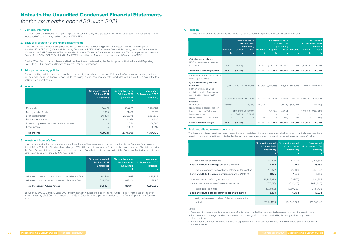### **6. Taxation**

There is no charge for the period as the Company has deductible expenses in excess of taxable income.

|                                                                                                                                                                                                                       | <b>Revenue</b><br>£ | Capital<br>£                  | <b>Six months ended</b><br>30 June 2021<br>(unaudited)<br><b>Total</b><br>£ | <b>Revenue</b><br>£ | Capital<br>£              | <b>Six months ended</b><br>30 June 2020<br>(unaudited)<br><b>Total</b><br>£ | <b>Revenue</b><br>£ | <b>Capital</b><br>£         | <b>Year ended</b><br>31 December 2020<br>(audited)<br><b>Total</b><br>£ |
|-----------------------------------------------------------------------------------------------------------------------------------------------------------------------------------------------------------------------|---------------------|-------------------------------|-----------------------------------------------------------------------------|---------------------|---------------------------|-----------------------------------------------------------------------------|---------------------|-----------------------------|-------------------------------------------------------------------------|
| a) Analysis of tax charge:<br>UK Corporation tax on profit for<br>the period                                                                                                                                          | 16,823              | (16, 823)                     |                                                                             | 380,390             | (122,000)                 | 258,390                                                                     | 432,618             | (241,588)                   | 191,030                                                                 |
| Total current tax charge/(credit)                                                                                                                                                                                     | 16,823              | (16, 823)                     |                                                                             | 380,390             | (122,000)                 | 258,390                                                                     | 432,618             | (241,588)                   | 191,030                                                                 |
| Corporation tax is based on a rate<br>of 19.0% (2020: 19.0%)<br>b) Profit on ordinary activities<br>before tax<br>Profit on ordinary activities<br>multiplied by rate of corporation<br>tax in the UK of 19.0% (2020: |                     | 172,945 23,120,758 23,293,703 |                                                                             |                     | 2,302,799 (1,429,283)     |                                                                             | 873,516 3,906,465   |                             | 13,540,118 17,446,583                                                   |
| 19.0%)                                                                                                                                                                                                                |                     | 32,859 4,392,944 4,425,803    |                                                                             | 437,532             | (271, 564)                | 165.968                                                                     |                     | 742,228 2,572,622           | 3,314,850                                                               |
| Effect of:<br>UK dividends<br>Net investment portfolio (gains)/<br>losses not (taxable)/allowable                                                                                                                     | (16,036)            | (4,530,625)                   | (16,036)<br>(4,530,625)                                                     | (57,001)            | $\overline{a}$<br>149,564 | (57,001)<br>149,564                                                         | (309, 469)          | $(2,814,210)$ $(2,814,210)$ | (309, 469)                                                              |
| Losses not utilised<br>Under provision in prior period                                                                                                                                                                |                     | 120,858                       | 120,858                                                                     | (141)               |                           | (141)                                                                       | (141)               |                             | (141)                                                                   |
| Actual current tax charge                                                                                                                                                                                             | 16,823              | (16, 823)                     |                                                                             | 380,390             | (122,000)                 | 258,390                                                                     | 432,618             | (241,588)                   | 191,030                                                                 |

#### **7. Basic and diluted earnings per share**

The basic and diluted earnings, revenue earnings and capital earnings per share shown below for each period are respectively based on numerators i)-iii), each divided by the weighted average number of shares in issue in the period - see iv) below.

| £                 | (unaudited)       | (audited)         |
|-------------------|-------------------|-------------------|
| 23,293,703        | 615,126           | 17,255,553        |
| 18.45p            | 0.49 <sub>p</sub> | 13.73p            |
| 156,122           | 1,922,409         | 3,473,847         |
| 0.12 <sub>p</sub> | 1.54 <sub>p</sub> | 2.76 <sub>p</sub> |
| 23,845,396        | (787,177)         | 14,811,634        |
| (707, 815)        | (520, 106)        | (1,029,928)       |
| 23,137,581        | (1,307,283)       | 13,781,706        |
| 18.33p            | (1.05)p           | 10.97p            |
| 126,244,156       | 124,645,269       | 125,685,147       |
|                   |                   |                   |

a) Basic earnings per share is total earnings after taxation divided by the weighted average number of shares in issue. b) Basic revenue earnings per share is the revenue earnings after taxation divided by the weighted average number of

shares in issue.

c) Basic capital earnings per share is the total capital earnings after taxation divided by the weighted average number of shares in issue.

#### **1. Company information**

Mobeus Income and Growth VCT plc is a public limited company incorporated in England, registration number 5153931. The registered office is 30 Haymarket, London, SW1Y 4EX.

#### **2. Basis of preparation of the Financial Statements**

These Financial Statements are prepared in accordance with accounting policies consistent with Financial Reporting Standard 102 ("FRS 102"), Financial Reporting Standard 104 ("FRS 104") - Interim Financial Reporting, with the Companies Act 2006 and the 2014 Statement of Recommended Practice, 'Financial Statements of Investment Trust Companies and Venture Capital Trusts' ('the SORP') (updated in April 2021) issued by the Association of Investment Companies ("AIC").

The Half-Year Report has not been audited, nor has it been reviewed by the Auditor pursuant to the Financial Reporting Council's (FRC) guidance on Review of Interim Financial Information.

#### **3. Principal accounting policies**

The accounting policies have been applied consistently throughout the period. Full details of principal accounting policies will be disclosed in the Annual Report, while the policy in respect of investments is included within an outlined box at the top of Note 9 on investments.

#### **4. Income**

|                                               | Six months ended<br>30 June 2021<br>(unaudited)<br>£ | Six months ended<br>30 June 2020<br>(unaudited)<br>£ | Year ended<br>31 December 2020<br>(audited) |
|-----------------------------------------------|------------------------------------------------------|------------------------------------------------------|---------------------------------------------|
| <b>Dividends</b>                              | 84,401                                               | 300,003                                              | 1,628,784                                   |
| Money-market funds                            | 1,033                                                | 61,670                                               | 70.175                                      |
| Loan stock interest                           | 541,228                                              | 2,393,778                                            | 2,967,870                                   |
| Bank deposit interest                         | 3.064                                                | 10.974                                               | 14,334                                      |
| Interest on preference share dividend arrears | $\qquad \qquad -$                                    | 726                                                  | 64,840                                      |
| Other income                                  | 5                                                    | 2.855                                                | 8.697                                       |
| <b>Total Income</b>                           | 629,731                                              | 2,770,006                                            | 4,754,700                                   |

#### **5. Investment Adviser's fees**

In accordance with the policy statement published under "Management and Administration" in the Company's prospectus dated 9 July 2004, the Directors have charged 75% of the Investment Adviser's fees to the capital reserve. This is in line with the Board's expectation of the long-term split of returns from the investment portfolio of the Company. For further details, see note 4a on page 57 of the 2020 Annual Report.

|                                                                                                                  | Six months ended<br>30 June 2021<br>(unaudited)<br>£. | Six months ended<br>30 June 2020<br>(unaudited) | Year ended<br>31 December 2020<br>(audited) |
|------------------------------------------------------------------------------------------------------------------|-------------------------------------------------------|-------------------------------------------------|---------------------------------------------|
| Allocated to revenue return: Investment Adviser's fees<br>Allocated to capital return: Investment Adviser's fees | 241.546<br>724.638                                    | 214.035<br>642.106                              | 423,839<br>1,271,516                        |
| <b>Total Investment Adviser's fees</b>                                                                           | 966,184                                               | 856,141                                         | 1,695,355                                   |

Between 1 July 2020 and 30 June 2021, the Investment Adviser's fee upon the net funds raised from the use of the overallotment facility of £5.00 million under the 2019/20 Offer for Subscription was reduced to 1% from 2% per annum, for one year.

## Notes to the Unaudited Condensed Financial Statements

for the six months ended 30 June 2021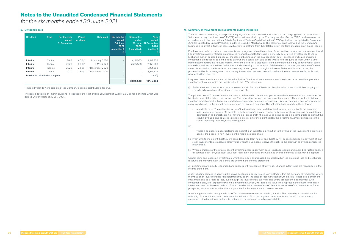### **8. Dividends paid**

| <b>Dividend</b>                | <b>Type</b> | For the year<br>ended<br><b>31 December</b> | Pence<br>per share | Date paid        | Six months<br>ended<br>30 June<br>2021<br>(unaudited)<br>£ | <b>Six months</b><br>ended<br>30 June<br>2020<br>(unaudited)<br>£ | Year<br>ended<br>31 December<br>2020<br>(audited) |
|--------------------------------|-------------|---------------------------------------------|--------------------|------------------|------------------------------------------------------------|-------------------------------------------------------------------|---------------------------------------------------|
| <b>Interim</b>                 | Capital     | 2019                                        | $4.00p*$           | 8 January 2020   | $\overline{\phantom{a}}$                                   | 4,181,060                                                         | 4,183,502                                         |
| <b>Interim</b>                 | Capital     | 2020                                        | $6.00p*$           | 7 May 2020       | $\overline{\phantom{a}}$                                   | 7,665,588                                                         | 7,665,588                                         |
| Interim                        | Income      | 2020                                        | 2.50 <sub>p</sub>  | 17 December 2020 | $\overline{\phantom{a}}$                                   | $\overline{\phantom{0}}$                                          | 3,164,908                                         |
| <b>Interim</b>                 | Capital     | 2020                                        | $2.50p*$           | 17 December 2020 | $\qquad \qquad -$                                          | -                                                                 | 3,164,908                                         |
| Dividends refunded in the year |             |                                             |                    |                  | -                                                          |                                                                   | (2, 442)                                          |
|                                |             |                                             |                    |                  | ٠                                                          | 11,846,648                                                        | 18,176,464                                        |

\* These dividends were paid out of the Company's special distributable reserve.

The Board declared an interim dividend in respect of the year ending 31 December 2021 of 5.00 pence per share which was paid to Shareholders on 12 July 2021.

#### **9. Summary of movement on investments during the period**

The most critical estimates, assumptions and judgements relate to the determination of the carrying value of investments at "fair value through profit and loss" (FVTPL). All investments held by the Company are classified as FVTPL and measured in accordance with the International Private Equity and Venture Capital Valuation ("IPEV") guidelines, as updated in December 2018 (as updated by Special Valuation guidance issued in March 2020). This classification is followed as the Company's business is to invest in financial assets with a view to profiting from their total return in the form of capital growth and income.

Purchases and sales of unlisted investments are recognised when the contract for acquisition or sale becomes unconditional. For investments actively traded on organised financial markets, fair value is generally determined by reference to Stock Exchange market quoted bid prices at the close of business on the balance sheet date. Purchases and sales of quoted investments are recognised on the trade date where a contract of sale exists whose terms require delivery within a time frame determined by the relevant market. Where the terms of a disposal state that consideration may be received at some future date and, subject to the conditionality and materiality of the amount of deferred consideration, an estimate of the fair value discounted for the time value of money may be recognised through the Income Statement. In other cases, the proceeds will only be recognised once the right to receive payment is established and there is no reasonable doubt that payment will be received.

- where a company's underperformance against plan indicates a diminution in the value of the investment, a provision against the price of a new investment is made, as appropriate.
- (ii) Premiums, to the extent that they are considered capital in nature, and that they will be received upon repayment of loan stock investments, are accrued at fair value when the Company receives the right to the premium and when considered recoverable.
- (iii) Where a multiple or the price of recent investment less impairment basis is not appropriate and overriding factors apply, a discounted cash flow, net asset valuation, realisation proceeds or a weighted average of these bases may be applied.

Unquoted investments are stated at fair value by the Directors at each measurement date in accordance with appropriate valuation techniques, which are consistent with the IPEV guidelines:-

(i) Each investment is considered as a whole on a 'unit of account' basis, i.e. that the value of each portfolio company is considered as a whole, alongside consideration of:-

The price of new or follow-on investments made, if deemed to be made as part of an orderly transaction, are considered to be at fair value at the date of the transaction. The inputs that derived the investment price are calibrated within individual valuation models and at subsequent quarterly measurement dates are reconsidered for any changes in light of more recent events or changes in the market performance of the investee company. The valuation bases used are the following:

a multiple basis. The enterprise value of the investment may be determined by applying a suitable price-earnings ratio, revenue or gross profit multiple to that company's historic, current or forecast post-tax earnings before interest, depreciation and amortisation, or revenue, or gross profit (the ratio used being based on a comparable sector but the resulting value being adjusted to reflect points of difference identified by the Investment Adviser compared to the sector including, inter alia, scale and liquidity).

or:-

Capital gains and losses on investments, whether realised or unrealised, are dealt with in the profit and loss and revaluation reserves and movements in the period are shown in the Income Statement.

All investments are initially recognised and subsequently measured at fair value. Changes in fair value are recognised in the Income Statement.

A key judgement made in applying the above accounting policy relates to investments that are permanently impaired. Where the value of an investment has fallen permanently below the price of recent investment, the loss is treated as a permanent impairment and as a realised loss, even though the investment is still held. The Board assesses the portfolio for such investments and, after agreement with the Investment Adviser, will agree the values that represent the extent to which an investment loss has become realised. This is based upon an assessment of objective evidence of that investment's future prospects, to determine whether there is potential for the investment to recover in value.

Accounting standards classify methods of fair value measurement as Levels 1, 2 and 3. This hierarchy is based upon the reliability of information used to determine the valuation. All of the unquoted investments are Level 3, i.e. fair value is measured using techniques and inputs that are not based on observable market data.

### Notes to the Unaudited Condensed Financial Statements

for the six months ended 30 June 2021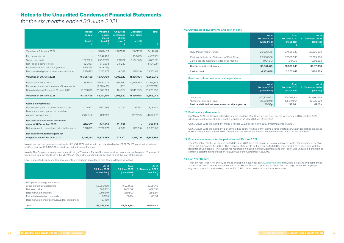|                                                                                      | <b>Traded</b><br>on AIM | <b>Unquoted</b><br>equity<br>shares | <b>Unquoted</b><br>preference<br>shares | <b>Unquoted</b><br><b>loan stock</b> | <b>Total</b> |
|--------------------------------------------------------------------------------------|-------------------------|-------------------------------------|-----------------------------------------|--------------------------------------|--------------|
|                                                                                      | Level 1<br>£            | Level 3<br>£                        | Level 3<br>£                            | Level <sub>3</sub><br>£              | £            |
| Valuation at 1 January 2021                                                          |                         | 37,824,511                          | 1,267,882                               | 12,051,791                           | 51,144,184   |
| Purchases at cost                                                                    |                         | 3,242,486                           | L,                                      | 1,230,095                            | 4,472,581    |
| Sales - proceeds                                                                     | (1,520,105)             | (1,730,768)                         | (231, 381)                              | (3, 124, 862)                        | (6,607,116)  |
| Net realised gains (Note a)                                                          | 620,987                 | 642,008                             | 231,232                                 |                                      | 1,494,227    |
| Reclassification at valuation (Note b)                                               | 8,419,354               | (8,419,354)                         |                                         |                                      |              |
| Net unrealised gains on investments (Note a)                                         | 8,878,193               | 12,232,877                          | 41,089                                  | 1,199,010                            | 22,351,169   |
| Valuation at 30 June 2021                                                            | 16,398,429              | 43,791,760                          | 1,308,822                               | 11,356,034                           | 72,855,045   |
| Book cost at 30 June 2021                                                            | 864,604                 | 25,460,427                          | 1,184,890                               | 14,696,964                           | 42,206,885   |
| Permanent impairment in value of investments                                         |                         | (2,578,496)                         | (302)                                   |                                      | (2,578,798)  |
| Unrealised gains/(losses) at 30 June 2021                                            | 15,533,825              | 20,909,829                          | 124,234                                 | (3,340,930)                          | 33,226,958   |
| Valuation at 30 June 2021                                                            | 16,398,429              | 43,791,760                          | 1,308,822                               | 11,356,034                           | 72,855,045   |
| <b>Gains on investments</b>                                                          |                         |                                     |                                         |                                      |              |
| Net realised gains based on historical cost<br>Less amounts recognised as unrealised | 1,123,927               | 1,523,793                           | 231,232                                 | 237,492                              | 3,116,444    |
| gains in previous years                                                              | (502, 940)              | (881,785)                           |                                         | (237, 492)                           | (1,622,217)  |
| Net realised gains based on carrying                                                 |                         |                                     |                                         |                                      |              |
| value at 31 December 2020                                                            | 620,987                 | 642,008                             | 231,232                                 |                                      | 1,494,227    |
| Net movement in unrealised gains in the period                                       | 8,878,193               | 12,232,877                          | 41,089                                  | 1,199,010                            | 22,351,169   |
| Net investment portfolio gains for                                                   |                         |                                     |                                         |                                      |              |
| the period ended 30 June 2021                                                        | 9,499,180               | 12,874,885                          | 272,321                                 | 1,199,010                            | 23,845,396   |

Note a) Net realised gains on investments of £1,494,227 together with net unrealised gains of £22,351,169 equal net investment portfolio gains of £23,845,396 as disclosed in the Income Statement.

Note b) The Company's equity investments in Virgin Wines and Parsley Box were admitted to AIM during the period. The amount transferred from Level 3 to Level 1 of £8,419,354 reflects the combined equity value held at the start of the period.

Level 3 unquoted equity and loan investments are valued in accordance with IPEV guidelines as follows:

|                                                   | As at<br>30 June 2021<br>(unaudited)<br>£ | As at<br>30 June 2020<br>(unaudited) | As at<br>31 December 2020<br>(audited) |
|---------------------------------------------------|-------------------------------------------|--------------------------------------|----------------------------------------|
| Multiple of earnings, revenue, or                 |                                           |                                      |                                        |
| gross margin, as appropriate                      | 53,960,080                                | 41,503,626                           | 49,051,716                             |
| Net asset value                                   | 368,852                                   | 1,409,041                            | 438,033                                |
| Recent investment price                           | 1.994.040                                 | 269,800                              | 1,588,241                              |
| Estimated realisation proceeds                    | 66,194                                    | 66.194                               | 66.194                                 |
| Recent investment price (reviewed for impairment) | 67,450                                    |                                      |                                        |
| Total                                             | 56,456,616                                | 43,248,661                           | 51,144,184                             |

#### **10. Current asset investments and cash at bank**

|                                                                                              | As at<br>30 June 2021<br>(unaudited)<br>£ | As at<br>30 June 2020<br>(unaudited) | As at<br>31 December 2020<br>(audited) |
|----------------------------------------------------------------------------------------------|-------------------------------------------|--------------------------------------|----------------------------------------|
| OEIC Money market funds                                                                      | 29.556.566                                | 27,565,930                           | 29.365.900                             |
| Cash equivalents per Statement of Cash Flows<br>Bank deposits that mature after three months | 29,556,566<br>1,004,913                   | 27,565,930<br>1,004,913              | 29,365,900<br>1,005,298                |
| <b>Current asset investments</b>                                                             | 30,561,479                                | 28,570,843                           | 30,371,198                             |
| Cash at bank                                                                                 | 4,353,638                                 | 3.203.047                            | 3.120.539                              |

#### **11. Basic and diluted net asset value per share**

|                                                     | As at        | As at        | As at            |
|-----------------------------------------------------|--------------|--------------|------------------|
|                                                     | 30 June 2021 | 30 June 2020 | 31 December 2020 |
|                                                     | (unaudited)  | (unaudited)  | (audited)        |
| Net assets                                          | £107,408,053 | £74,709,801  | £84,688,516      |
| Number of shares in issue                           | 125,538,048  | 126.919.084  | 126,336,620      |
| Basic and diluted net asset value per share (pence) | 85.56p       | 58.86p       | 67.03p           |

#### **12. Post balance sheet events**

On 11 May 2021, the Board declared an interim dividend of 5.00 pence per share for the year ending 31 December 2021, which was paid to shareholders on the register on 21 May 2021, on 12 July 2021.

On 5 August 2021, the Company made a further £0.82 million new equity investment into MyTutor.

On 6 August 2021, the Company partially sold its equity holding in MyTutor to a large strategic investor generating proceeds of £0.82 million and a gain of £0.60 million over the cost of the original investment made in 2017 of £0.22 million.

#### **13. Financial statements for the period ended 30 June 2021**

The information for the six months ended 30 June 2021 does not comprise statutory accounts within the meaning of Section 434 of the Companies Act 2006. The Financial Statements for the year ended 31 December 2020 have been filed with the Registrar of Companies. The auditor has reported on these Financial Statements and that report was unqualified and did not contain a statement under section 498(2) or (3) of the Companies Act 2006.

#### **14. Half-Year Report**

This Half-Year Report will shortly be made available on our website: www.migvct.co.uk and will be circulated by post to those Shareholders who have requested copies of the Report. Further copies are available free of charge from the Company's registered office, 30 Haymarket, London, SW1Y 4EX or can be downloaded via the website.

### Notes to the Unaudited Condensed Financial Statements

for the six months ended 30 June 2021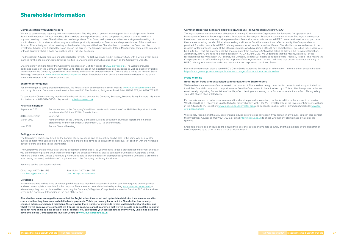### Shareholder Information

#### **Communication with Shareholders**

We aim to communicate regularly with our Shareholders. The May annual general meeting provides a useful platform for the Board and Investment Adviser to update Shareholders on the performance of the company and, when it can be held as a physical meeting, to meet Shareholders and exchange views. Your Board welcomes your attendance at general meetings, if practicable and circumstances allow, to give you the opportunity to meet your Directors and representatives of the Investment Adviser. Alternatively, an online meeting, as held earlier this year, still allows Shareholders to question the Board and the Investment Adviser who Shareholders can see on the screen. The Company releases Interim Management Statements in respect of those quarters where it does not publish half or full year accounts.

Shareholders wishing to follow the Company's progress can visit its website at www.migvct.co.uk. The website includes dedicated pages on the Company providing up-to-date details on fund performance and dividends as well as publicly available information on the Company's portfolio of investments and copies of company reports. There is also a link to the London Stock Exchange's website at: www.londonstockexchange.com where Shareholders can obtain up to the minute details of the share price and the latest NAV announcements, etc.

To contact the Chairman or any member of the Board, please contact the Company Secretary, Mobeus Equity Partners LLP, in the first instance on 020 7024 7600 or by e-mail to vcts@mobeus.co.uk.

The Investment Adviser holds an annual shareholder event. The last event was held in February 2020 with a virtual event being planned for the late autumn. Details will be notified to Shareholders and will also be shown on the Company's website.

#### **Shareholder enquiries:**

Paul Nolan 0207 886 2717 chris.lloyd@panmure.com paul.nolan@panmure.com

For any changes to your personal information, the Registrar can be contacted via their website www.investorcentre.co.uk, by post or by phone at: Computershare Investor Services PLC, The Pavilions, Bridgwater Road, Bristol BS99 6ZZ, tel: 0370 707 1155.

#### **Financial calendar**

| September 2021    | Announcement of the Company's Half-Year results and circulation of the Half-Year Report for the six<br>months ended 30 June 2021 to Shareholders.              |
|-------------------|----------------------------------------------------------------------------------------------------------------------------------------------------------------|
| 31 December 2021  | Year-end.                                                                                                                                                      |
| <b>March 2022</b> | Announcement of the Company's annual results and circulation of Annual Report and Financial<br>Statements for the year ended 31 December 2021 to Shareholders. |
| May 2022          | Annual General Meeting.                                                                                                                                        |

#### **Selling your shares**

The Company's Shares are listed on the London Stock Exchange and as such they can be sold in the same way as any other quoted company through a stockbroker. Shareholders are also advised to discuss their individual tax position with their financial advisor before deciding to sell their shares.

The Company is unable to buy back shares direct from Shareholders, so you will need to use a stockbroker to sell your shares. If you are considering selling your shares or trading in the secondary market, please contact the Company's Corporate Broker, Panmure Gordon (UK) Limited ("Panmure"). Panmure is able to provide details of close periods (when the Company is prohibited from buying in shares) and details of the price at which the Company has bought in shares.

Panmure can be contacted as follows:

| Chris Lloyd 0207 886 2716 |  |
|---------------------------|--|
| chris.lloyd@panmure.com   |  |

#### **Dividends**

Shareholders who wish to have dividends paid directly into their bank account rather than sent by cheque to their registered address can complete a mandate for this purpose. Mandates can be updated online by visiting www.investorcentre.co.uk or, alternatively, they can be obtained by contacting the Company's Registrar, Computershare Investor Services PLC at the address given in the Corporate Information at the end of the report.

**Shareholders are encouraged to ensure that the Registrar has the correct and up-to-date details for their accounts and to check whether they have received all dividends payments. This is particularly important if a Shareholder has recently changed address or changed their bank. We are aware that a number of dividends remain unclaimed by Shareholders and whilst we will endeavour to contact them if this is the case, we cannot guarantee that we will be able to do so if the Registrar does not have an up-to-date postal or email address. You can update your contact details and view any unclaimed dividend payments on the Computershare Investor Centre at www.investorcentre.co.uk.**

### **Common Reporting Standard and Foreign Account Tax Compliance Act ("FATCA")**

Tax legislation was introduced with effect from 1 January 2016 under the Organisation for Economic Co-operation and Development Common Reporting Standard for Automatic Exchange of Financial Account Information. The legislation requires investment trust companies to provide personal and financial account information to HMRC on certain investors who purchase their shares including details of their shareholding and income from the shares. As an affected entity, the Company has to provide information annually to HMRC relating to a number of non-UK based certificated Shareholders who are deemed to be resident for tax purposes in any of the 90 plus countries who have joined CRS. All new Shareholders, excluding those shares are held in CREST, who are entered onto the share register from 1 January 2016 will be asked to provide the relevant information. Additionally, HMRC changed its policy position on FATCA in June 2016. We understand that this means, as a result of the restricted secondary market in VCT shares, the Company's shares will not be considered to be "regularly traded". This means the Company is also an affected entity for the purposes of this legislation and as such will have to provide information annually to HMRC relating to Shareholders who are resident for tax purposes in the United States.

For further information, please see HMRC's Quick Guide: Automatic Exchange of Information – information for account holders: https://www.gov.uk /government/publications/exchange-of-information-account-holders.

#### **Fraud Warning**

#### **Boiler Room fraud and unsolicited communications to Shareholders**

We have been made aware of an increase in the number of Shareholders being contacted in connection with sophisticated but fraudulent financial scams which purport to come from the Company or to be authorised by it. This is often by a phone call or an email usually originating from outside of the UK, often claiming or appearing to be from a corporate finance firm offering to buy your VCT shares at an inflated price.

Further information on boiler room scams and fraud advice plus who to contact, can be found first in the answer to a question "What should I do if I receive an unsolicited offer for my shares?" within the VCT Investor area of the Investment Adviser's website in the A Guide to VCTs section: www.mobeus.co.uk/investor-area and secondly, in a link to the FCA's ScamSmart site: www.fca. org.uk/scamsmart

We strongly recommend that you seek financial advice before taking any action if you remain in any doubt. You can also contact the Investment Adviser on 0207 024 7600, or email info@mobeus.co.uk to check whether any claims made by a caller are genuine.

Shareholders are also encouraged to ensure their personal data is always held securely and that data held by the Registrar of the Company is up to date, to avoid cases of identity fraud.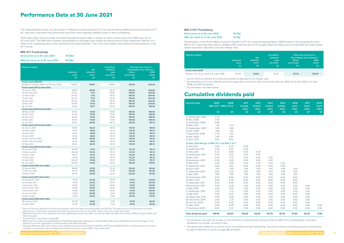The following table shows, for all investors in Mobeus Income & Growth VCT plc and the former Matrix Income & Growth 3 VCT plc, how their investment has performed since they were originally allotted shares in each fundraising.

Total return data, which includes cumulative dividends paid to date, is shown on both a share price and a NAV basis as at 30 June 2021. The NAV basis enables shareholders to evaluate more clearly the performance of the Investment Adviser, as it reflects the underlying value of the portfolio at the reporting date. This is the most widely used measure of performance in the VCT sector.

#### **MIG VCT Fundraisings**

**Share price as at 30 June 2021 76.50p** 

#### **NAV per share as at 30 June 2021 85.56p**

<sup>2</sup> - Net allotment price is the allotment price less applicable income tax relief. Income tax relief was 40% from 6 April 2004 to 5 April 2006, and 30% thereafter.

<sup>3</sup> - For derivation, see table on page 29.

| <b>Allotment date(s)</b>                |                     |                           | <b>Cumulative</b>             | Total return per share to           |                  |
|-----------------------------------------|---------------------|---------------------------|-------------------------------|-------------------------------------|------------------|
|                                         |                     | <b>Net</b>                | dividends                     | <b>Shareholders since allotment</b> |                  |
|                                         | <b>Allotment</b>    | allotment                 | paid                          | <b>(Share</b>                       | (NAV             |
|                                         | price<br>(p)        | price <sup>2</sup><br>(p) | per share <sup>3</sup><br>(p) | price basis)<br>(p)                 | basis)<br>(p)    |
|                                         |                     |                           |                               |                                     |                  |
| Funds raised 2004/05                    |                     |                           |                               |                                     |                  |
| Between 5 October 2004 and 29 June 2005 | 100.00              | 60.00                     | 139.80                        | 216.30                              | 225.36           |
| Funds raised 2011 (Linked offer)        |                     |                           |                               |                                     |                  |
| 21 January 2011                         | 98.00               | 68.60                     | 118.50                        | 195.00                              | 204.06<br>204.06 |
| 28 February 2011<br>22 March 2011       | 102.30<br>102.30    | 71.61<br>71.61            | 118.50<br>118.50              | 195.00<br>195.00                    | 204.06           |
| 01 April 2011                           | 102.30              | 71.61                     | 118.50                        | 195.00                              | 204.06           |
| 05 April 2011                           | 102.30              | 71.61                     | 118.50                        | 195.00                              | 204.06           |
| 10 May 2011                             | 100.60              | 70.42                     | 118.50                        | 195.00                              | 204.06           |
| 06 July 2011                            | 95.30               | 66.71                     | 113.50                        | 190.00                              | 199.06           |
| Funds raised 2012 (Linked offer)        |                     |                           |                               |                                     |                  |
| 08 March 2012                           | 101.20              | 70.84                     | 113.00                        | 189.50                              | 198.56           |
| 04 April 2012                           | 101.20              | 70.84                     | 113.00                        | 189.50                              | 198.56           |
| 05 April 2012                           | 101.20              | 70.84                     | 113.00                        | 189.50                              | 198.56           |
| 10 May 2012                             | 101.20              | 70.84                     | 113.00                        | 189.50                              | 198.56           |
| 10 July 2012                            | 95.50               | 66.85                     | 106.75                        | 183.25                              | 192.31           |
| Funds raised 2013 (Linked offer)        |                     |                           |                               |                                     |                  |
| 14 January 2013                         | 94.60               | 66.22                     | 101.75                        | 178.25                              | 187.31           |
| 28 March 2013                           | 97.40               | 68.18                     | 101.75                        | 178.25                              | 187.31           |
| 04 April 2013                           | 97.40               | 68.18                     | 101.75                        | 178.25                              | 187.31           |
| 05 April 2013                           | 97.40               | 68.18                     | 101.75                        | 178.25                              | 187.31           |
| 10 April 2013 pre RDR <sup>4</sup>      | 99.80               | 69.86                     | 101.75                        | 178.25                              | 187.31           |
| 10 April 2013 post RDR <sup>4</sup>     | 97.40               | 68.18                     | 101.75                        | 178.25                              | 187.31           |
| 07 May 2013                             | 95.40               | 66.78                     | 99.75                         | 176.25                              | 185.31           |
| Funds raised 2014 (Linked offer)        |                     |                           |                               |                                     |                  |
| 09 January 2014                         | 100.01 <sup>5</sup> | 70.01                     | 95.75                         | 172.25                              | 181.31           |
| 11 February 2014                        | 100.285             | 70.20                     | 95.75                         | 172.25                              | 181.31           |
| 31 March 2014                           | 106.715             | 74.70                     | 95.75                         | 172.25                              | 181.31           |
| 03 April 2014                           | 107.195             | 75.03                     | 95.75                         | 172.25                              | 181.31           |
| 04 April 2014                           | 106.545             | 74.58                     | 95.75                         | 172.25                              | 181.31           |
| 06 June 2014                            | 108.505             | 75.95                     | 92.50                         | 169.00                              | 178.06           |
| Funds raised 2015 (Joint offer)         |                     |                           |                               |                                     |                  |
| 14 January 2015                         | 96.905              | 67.83                     | 75.50                         | 152.00                              | 161.06           |
| 17 February 2015                        | 98.375              | 68.86                     | 75.50                         | 152.00                              | 161.06           |
| 10 March 2015                           | 99.40 <sup>5</sup>  | 69.58                     | 75.50                         | 152.00                              | 161.06           |
| Funds raised 2017 (Joint offer)         |                     |                           |                               |                                     |                  |
| 28 September 2017                       | 74.705              | 52.29                     | 35.00                         | 111.50                              | 120.56           |
| 20 October 2017                         | 74.895              | 52.42                     | 35.00                         | 111.50                              | 120.56           |
| 9 November 2017                         | 75.825              | 53.07                     | 35.00                         | 111.50                              | 120.56           |
| 20 November 2017                        | 76.985              | 53.89                     | 35.00                         | 111.50                              | 120.56           |
| 21 November 2017                        | 76.90 <sup>5</sup>  | 53.83                     | 35.00                         | 111.50                              | 120.56           |
| 24 January 2018                         | 72.685              | 50.88                     | 31.00                         | 107.50                              | 116.56           |
| 13 March 2018                           | 72.645              | 50.85                     | 31.00                         | 107.50                              | 116.56           |
| Funds raised 2020 (Joint offer)         |                     |                           |                               |                                     |                  |
| 08 January 2020                         | 65.20 <sup>5</sup>  | 45.64                     | 11.00                         | 87.50                               | 96.56            |
| 02 April 2020                           | 61.255              | 42.88                     | 11.00                         | 87.50                               | 96.56            |

<sup>5</sup> - Average effective offer price. Shares were allotted pursuant to the 2013/14, 2014/15, 2017/18 and 2019/20 Offers at individual prices for each investor in accordance with the allotment formula as set out in each Offer's Securities Note.

<sup>1</sup> - Source: Panmure Gordon & Co (mid-price basis), as adjusted for the merger ratio. <sup>2</sup> - Net allotment price is the allotment price less applicable income tax relief. Income tax relief was 40% from 6 April 2004 to 5 April 2006, and 30% thereafter.

<sup>3</sup> - For derivation, see table below.

1 - Source: Panmure Gordon & Co (mid-price basis), when the latest announced NAV was 80.31p. The share price of 76.50 pence has been adjusted for a 5.00 pence dividend paid after the period-end on 12 July 2021. which was ex-div at 30 June 2021.

> <sup>2</sup> - The above data relates to an investor in the first allotment of each fundraising. The precise amount of dividends paid to Shareholders by date of allotment is shown on page 28 and above.

4 - RDR means the date of implementation of the Retail Distribution Review on 31 December 2012, which affected the level of charges in the allotment price for applications received before and after that date.

#### **MIG 3 VCT Fundraising**

| Share price as at 30 June 2021   | 81.51p <sup>1</sup> |
|----------------------------------|---------------------|
| NAV per share as at 30 June 2021 | 91.16 <sub>p</sub>  |

Shareholders in the former Matrix Income & Growth 3 VCT plc received approximately 1.0655 shares in the Company for each MIG 3 VCT share that they held on 20 May 2010, when the two VCTs merged. Both the share price and the NAV per share shown above have been adjusted using this merger ratio.

| <b>Allotment date(s)</b>                 | <b>Allotment</b><br>price<br>(p) | <b>Net</b><br>allotment<br>price <sup>2</sup><br>(p) | <b>Cumulative</b><br>dividends<br>paid<br>per share <sup>3</sup><br>(p) | (Share<br>price basis)<br>(p) | Total return per share to<br>Shareholders since allotment<br>(NAV<br>basis)<br>(p) |
|------------------------------------------|----------------------------------|------------------------------------------------------|-------------------------------------------------------------------------|-------------------------------|------------------------------------------------------------------------------------|
| Funds raised 2006                        |                                  |                                                      |                                                                         |                               |                                                                                    |
| Between 24 January 2006 and 5 April 2006 | 100.00                           | 60.00                                                | 135.81                                                                  | 217.32                        | 226.97                                                                             |

### Cumulative dividends paid

| <b>Payment date</b>                         | 2004   | 2006<br>(MIG VCT) (MIG 3 VCT) | 2011<br>(Linked | 2012<br>(Linked | 2013<br>(Linked | 2014<br>(Linked | 2015<br>(Joint | 2017<br>(Joint | 2020<br>(Joint |
|---------------------------------------------|--------|-------------------------------|-----------------|-----------------|-----------------|-----------------|----------------|----------------|----------------|
|                                             | (p)    | (p)                           | offer)<br>(p)   | offer)<br>(p)   | offer)<br>(p)   | offer)<br>(p)   | offer)<br>(p)  | offer)<br>(p)  | offer)<br>(p)  |
| 27 September 2005                           | 0.30   |                               |                 |                 |                 |                 |                |                |                |
| 16 May 2006                                 | 0.70   |                               |                 |                 |                 |                 |                |                |                |
| 14 September 2006                           | 0.80   |                               |                 |                 |                 |                 |                |                |                |
| 18 May 2007                                 | 1.40   | 1.25                          |                 |                 |                 |                 |                |                |                |
| 20 September 2007                           | 1.00   | 1.00                          |                 |                 |                 |                 |                |                |                |
| 21 May 2008                                 | 7.80   | 1.50                          |                 |                 |                 |                 |                |                |                |
| 11 September 2008                           | 3.30   | 1.00                          |                 |                 |                 |                 |                |                |                |
| 15 May 2009                                 | 1.00   | 0.80                          |                 |                 |                 |                 |                |                |                |
| 21 April 2010                               | 5.00   | 4.00                          |                 |                 |                 |                 |                |                |                |
| 20 May 2010 Merger of MIG VCT and MIG 3 VCT |        |                               |                 |                 |                 |                 |                |                |                |
| 27 May 2011                                 | 5.00   | 5.33 <sup>1</sup>             | 5.00            |                 |                 |                 |                |                |                |
| 15 September 2011                           | 0.50   | 0.53 <sup>1</sup>             | 0.50            |                 |                 |                 |                |                |                |
| 22 May 2012                                 | 6.25   | 6.66 <sup>1</sup>             | 6.25            | 6.25            |                 |                 |                |                |                |
| 20 September 2012                           | 5.00   | 5.33 <sup>1</sup>             | 5.00            | 5.00            |                 |                 |                |                |                |
| 15 May 2013                                 | 2.00   | 2.13 <sup>1</sup>             | 2.00            | 2.00            | 2.00            |                 |                |                |                |
| 18 September 2013                           | 4.00   | 4.26 <sup>1</sup>             | 4.00            | 4.00            | 4.00            |                 |                |                |                |
| 14 May 2014                                 | 3.25   | 3.46 <sup>1</sup>             | 3.25            | 3.25            | 3.25            | 3.25            |                |                |                |
| 17 September 2014                           | 17.00  | 18.11 <sup>1</sup>            | 17.00           | 17.00           | 17.00           | 17.00           |                |                |                |
| 30 April 2015                               | 7.00   | 7.46 <sup>1</sup>             | 7.00            | 7.00            | 7.00            | 7.00            | 7.00           |                |                |
| 17 September 2015                           | 3.00   | 3.20 <sup>1</sup>             | 3.00            | 3.00            | 3.00            | 3.00            | 3.00           |                |                |
| 31 May 2016                                 | 7.00   | 7.46 <sup>1</sup>             | 7.00            | 7.00            | 7.00            | 7.00            | 7.00           |                |                |
| 20 September 2016                           | 8.50   | 9.06 <sup>1</sup>             | 8.50            | 8.50            | 8.50            | 8.50            | 8.50           |                |                |
| 31 March 2017                               | 6.00   | 6.39 <sup>1</sup>             | 6.00            | 6.00            | 6.00            | 6.00            | 6.00           |                |                |
| 13 September 2017                           | 9.00   | 9.59 <sup>1</sup>             | 9.00            | 9.00            | 9.00            | 9.00            | 9.00           |                |                |
| 08 December 2017                            | 4.00   | 4.26 <sup>1</sup>             | 4.00            | 4.00            | 4.00            | 4.00            | 4.00           | 4.00           |                |
| 17 May 2018                                 | 3.00   | 3.20 <sup>1</sup>             | 3.00            | 3.00            | 3.00            | 3.00            | 3.00           | 3.00           |                |
| 21 September 2018                           | 2.00   | 2.13 <sup>1</sup>             | 2.00            | 2.00            | 2.00            | 2.00            | 2.00           | 2.00           |                |
| 17 May 2019                                 | 5.00   | 5.33 <sup>1</sup>             | 5.00            | 5.00            | 5.00            | 5.00            | 5.00           | 5.00           |                |
| 20 September 2019                           | 4.00   | 4.26 <sup>1</sup>             | 4.00            | 4.00            | 4.00            | 4.00            | 4.00           | 4.00           |                |
| 06 December 2019                            | 2.00   | 2.13 <sup>1</sup>             | 2.00            | 2.00            | 2.00            | 2.00            | 2.00           | 2.00           |                |
| 08 January 2020                             | 4.00   | 4.26 <sup>1</sup>             | 4.00            | 4.00            | 4.00            | 4.00            | 4.00           | 4.00           |                |
| 07 May 2020                                 | 6.00   | 6.39 <sup>1</sup>             | 6.00            | 6.00            | 6.00            | 6.00            | 6.00           | 6.00           | 6.00           |
| 17 December 2020                            | 5.00   | 5.33 <sup>1</sup>             | 5.00            | 5.00            | 5.00            | 5.00            | 5.00           | 5.00           | 5.00           |
| Total dividends paid <sup>2</sup>           | 139.80 | 135.81                        | 118.50          | 113.00          | 101.75          | 95.75           | 75.50          | 35.00          | 11.00          |

1 - The dividends paid after the merger, on the Company's shareholdings arising from former MIG 3 VCT shareholdings, have been restated for the merger conversion ratio.

### Performance Data at 30 June 2021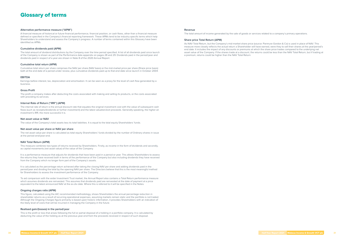### Glossary of terms

#### **Alternative performance measure ("APM")**

A financial measure of historical or future financial performance, financial position, or cash flows, other than a financial measure defined or specified in the Company's financial reporting framework. These APMs tend to be industry specific terms which help Shareholders to understand and assess the Company's progress. A number of terms contained within this Glossary have been identified as APMs.

#### **Cumulative dividends paid (APM)**

The total amount of dividend distributions by the Company over the time period specified. A list of all dividends paid since launch of the Company is shown as part of the Performance data appendix on pages 28 and 29. Dividends paid in the period/year and dividends paid in respect of a year are shown in Note 8 of the 2020 Annual Report.

#### **Cumulative total return (APM)**

Cumulative total return per share comprises the NAV per share (NAV basis) or the mid-market price per share (Share price basis) both at the end date of a period under review, plus cumulative dividends paid up to that end date since launch in October 2004.

#### **EBITDA**

Earnings before interest, tax, depreciation and amortisation. It can be seen as a proxy for the level of cash flow generated by a business.

#### **Gross Profit**

The profit a company makes after deducting the costs associated with making and selling its products, or the costs associated with providing its services.

#### **Internal Rate of Return ("IRR") (APM)**

The internal rate of return is the annual discount rate that equates the original investment cost with the value of subsequent cash flows (such as receipts/dividends or further investment) and the latest valuation/exit proceeds. Generally speaking, the higher an investment's IRR, the more successful it is.

#### **Net asset value or NAV**

The value of the Company's total assets less its total liabilities. It is equal to the total equity Shareholders' funds.

#### **Net asset value per share or NAV per share**

The net asset value per share is calculated as total equity Shareholders' funds divided by the number of Ordinary shares in issue at the period-end/year-end.

#### **NAV Total Return (APM)**

This measure combines two types of returns received by Shareholders. Firstly, as income in the form of dividends and secondly, as capital movements (net asset value) of the value of the Company.

It is a performance measure that adjusts for dividends that have been paid in a period or year. This allows Shareholders to assess the returns they have received both in terms of the performance of the Company but also including dividends they have received from the Company which no longer form part of the Company's assets.

It is calculated as the percentage return achieved after taking the closing NAV per share and adding dividends paid in the period/year and dividing the total by the opening NAV per share. The Directors believe that this is the most meaningful method for Shareholders to assess the investment performance of the Company.

To aid comparison with the wider Investment Trust market, the Annual Report also contains a Total Return performance measure which assumes dividends are reinvested. This assumes that dividends paid are reinvested at the date of payment at a price equivalent to the latest announced NAV at the ex-div date. Where this is referred to it will be specified in the Notes.

#### **Ongoing charges ratio (APM)**

This figure, calculated using the AIC recommended methodology, shows Shareholders the annual percentage reduction in shareholder returns as a result of recurring operational expenses, assuming markets remain static and the portfolio is not traded. Although the Ongoing Charges figure primarily is based upon historic information, it provides Shareholders with an indication of the likely level of costs that will be incurred in managing the Company in the future.

#### **Realised gain/(losses) in the period/year**

This is the profit or loss that arises following the full or partial disposal of a holding in a portfolio company. It is calculated by deducting the value of the holding as at the previous year-end from the proceeds received in respect of such disposal.

#### **Revenue**

The total amount of income generated by the sale of goods or services related to a company's primary operations.

#### **Share price Total Return (APM)**

As NAV Total Return, but the Company's mid-market share price (source: Panmure Gordon & Co) is used in place of NAV. This measure more closely reflects the actual return a Shareholder will have earned, were they to sell their shares at the year/period's end date. It includes the impact of any discounts or premiums at which the share price trades compared to the underlying net asset value of the Company. If the shares trade at a discount, the returns could be less than the NAV Total Return, but if trading at a premium, returns could be higher than the NAV Total Return.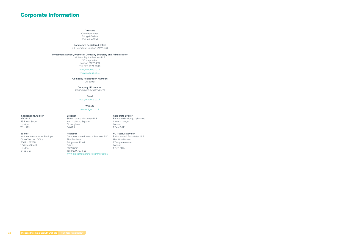### **Directors**

Clive Boothman Bridget Guérin Catherine Wall

### **Company's Registered Office**

30 Haymarket London SW1Y 4EX

#### **Investment Adviser, Promoter, Company Secretary and Administrator**

Mobeus Equity Partners LLP 30 Haymarket London SW1Y 4EX Tel: 020 7024 7600 info@mobeus.co.uk

www.mobeus.co.uk

#### **Company Registration Number:**

05153931

**Company LEI number:** 213800HKOSEVWS7YPH79

#### **Email**

vcts@mobeus.co.uk

#### **Website**

www.migvct.co.uk

#### **Independent Auditor**

BDO LLP 55 Baker Street London W1U 7EU

**Solicitor** 

Shakespeare Martineau LLP No 1 Colmore Square

Birmingham

### B4 6AA

#### **Corporate Broker**

Panmure Gordon (UK) Limited 1 New Change London EC4M 9AF

#### **Banker**

National Westminster Bank plc City of London Office PO Box 12258 1 Princes Street London EC2R 8PA

**Registrar** Computershare Investor Services PLC The Pavilions Bridgwater Road Bristol BS99 6ZZ Tel: 0370 707 1155 www-uk.computershare.com/investor/

#### **VCT Status Adviser**

Philip Hare & Associates LLP Hamilton House 1 Temple Avenue London EC4Y 0HA

### Corporate Information